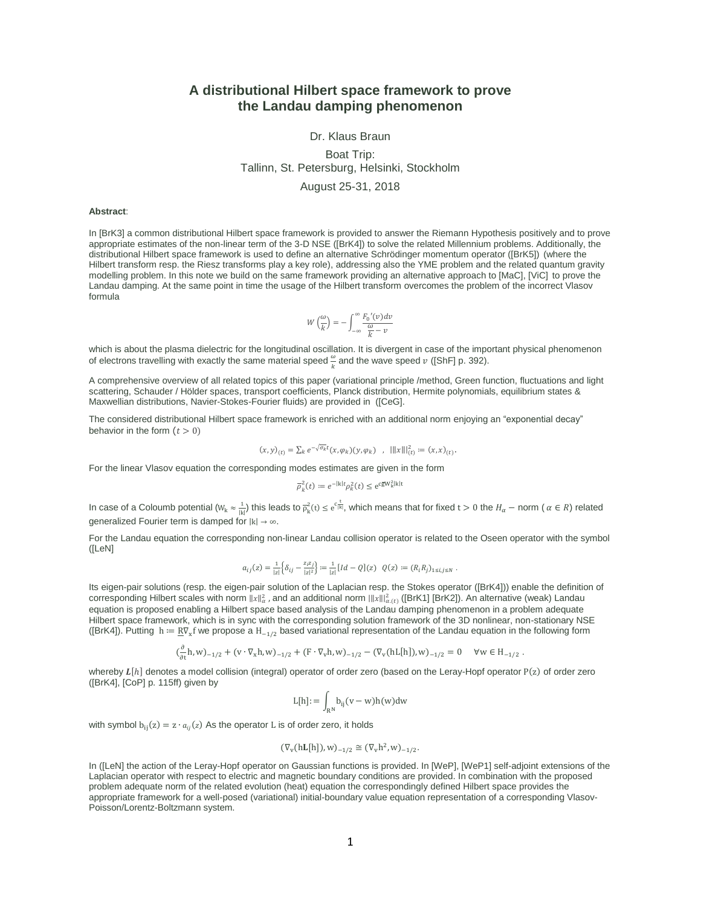# **A distributional Hilbert space framework to prove the Landau damping phenomenon**

#### Dr. Klaus Braun

## Boat Trip: Tallinn, St. Petersburg, Helsinki, Stockholm August 25-31, 2018

#### **Abstract**:

In [BrK3] a common distributional Hilbert space framework is provided to answer the Riemann Hypothesis positively and to prove appropriate estimates of the non-linear term of the 3-D NSE ([BrK4]) to solve the related Millennium problems. Additionally, the distributional Hilbert space framework is used to define an alternative Schrödinger momentum operator ([BrK5]) (where the Hilbert transform resp. the Riesz transforms play a key role), addressing also the YME problem and the related quantum gravity modelling problem. In this note we build on the same framework providing an alternative approach to [MaC], [ViC] to prove the Landau damping. At the same point in time the usage of the Hilbert transform overcomes the problem of the incorrect Vlasov formula

$$
W\left(\frac{\omega}{k}\right) = -\int_{-\infty}^{\infty} \frac{F_0'(v)dv}{\frac{\omega}{k} - v}
$$

which is about the plasma dielectric for the longitudinal oscillation. It is divergent in case of the important physical phenomenon of electrons travelling with exactly the same material speed  $\frac{\omega}{k}$  and the wave speed  $v$  ([ShF] p. 392).

A comprehensive overview of all related topics of this paper (variational principle /method, Green function, fluctuations and light scattering, Schauder / Hölder spaces, transport coefficients, Planck distribution, Hermite polynomials, equilibrium states & Maxwellian distributions, Navier-Stokes-Fourier fluids) are provided in ([CeG].

The considered distributional Hilbert space framework is enriched with an additional norm enjoying an "exponential decay" behavior in the form  $(t > 0)$ 

$$
(x, y)_{(t)} = \sum_{k} e^{-\sqrt{\sigma_k}t} (x, \varphi_k)(y, \varphi_k) , \quad |||x|||_{(t)}^2 := (x, x)_{(t)}.
$$

For the linear Vlasov equation the corresponding modes estimates are given in the form

$$
\overline{\rho}_k^2(t) := e^{-|{\bf k}|t} \rho_k^2(t) \le e^{c \overline{\bf g} W_k^2 |{\bf k}|t}
$$

In case of a Coloumb potential  $(W_k \approx \frac{1}{|k|})$  this leads to  $\overline{\rho}_k^2(t) \leq e^{C_{[k]}^t}$ , which means that for fixed  $t > 0$  the  $H_\alpha$  – norm (  $\alpha \in R$ ) related generalized Fourier term is damped for  $|k| \rightarrow \infty$ .

For the Landau equation the corresponding non-linear Landau collision operator is related to the Oseen operator with the symbol ([LeN]

$$
a_{ij}(z) = \frac{1}{|z|}\Big\{\delta_{ij} - \frac{z_iz_j}{|z|^2}\Big\} := \frac{1}{|z|}[Id - Q](z) \ \ Q(z) := (R_iR_j)_{1\le i,j\le N}\;.
$$

Its eigen-pair solutions (resp. the eigen-pair solution of the Laplacian resp. the Stokes operator ([BrK4])) enable the definition of corresponding Hilbert scales with norm  $\|x\|_{\alpha}^2$ , and an additional norm  $\| \|x\| \|_{\alpha(t)}^2$  ([BrK1] [BrK2]). An alternative (weak) Landau equation is proposed enabling a Hilbert space based analysis of the Landau damping phenomenon in a problem adequate Hilbert space framework, which is in sync with the corresponding solution framework of the 3D nonlinear, non-stationary NSE ([BrK4]). Putting  $h \coloneqq \frac{RV_x f}{V}$  we propose a  $H_{-1/2}$  based variational representation of the Landau equation in the following form

$$
(\frac{\partial}{\partial t}h, w)_{-1/2} + (v \cdot \nabla_x h, w)_{-1/2} + (F \cdot \nabla_v h, w)_{-1/2} - (\nabla_v (hL[h]), w)_{-1/2} = 0 \quad \forall w \in H_{-1/2}
$$

.

whereby  $L[h]$  denotes a model collision (integral) operator of order zero (based on the Leray-Hopf operator P(z) of order zero ([BrK4], [CoP] p. 115ff) given by

$$
L[h]\!:=\int_{R^N}\!b_{ij}(v-w)h(w)dw
$$

with symbol  $b_{ii}(z) = z \cdot a_{ii}(z)$  As the operator L is of order zero, it holds

$$
(\nabla_v (h \mathbf{L}[h]), w)_{-1/2} \cong (\nabla_v h^2, w)_{-1/2}.
$$

In ([LeN] the action of the Leray-Hopf operator on Gaussian functions is provided. In [WeP], [WeP1] self-adjoint extensions of the Laplacian operator with respect to electric and magnetic boundary conditions are provided. In combination with the proposed problem adequate norm of the related evolution (heat) equation the correspondingly defined Hilbert space provides the appropriate framework for a well-posed (variational) initial-boundary value equation representation of a corresponding Vlasov-Poisson/Lorentz-Boltzmann system.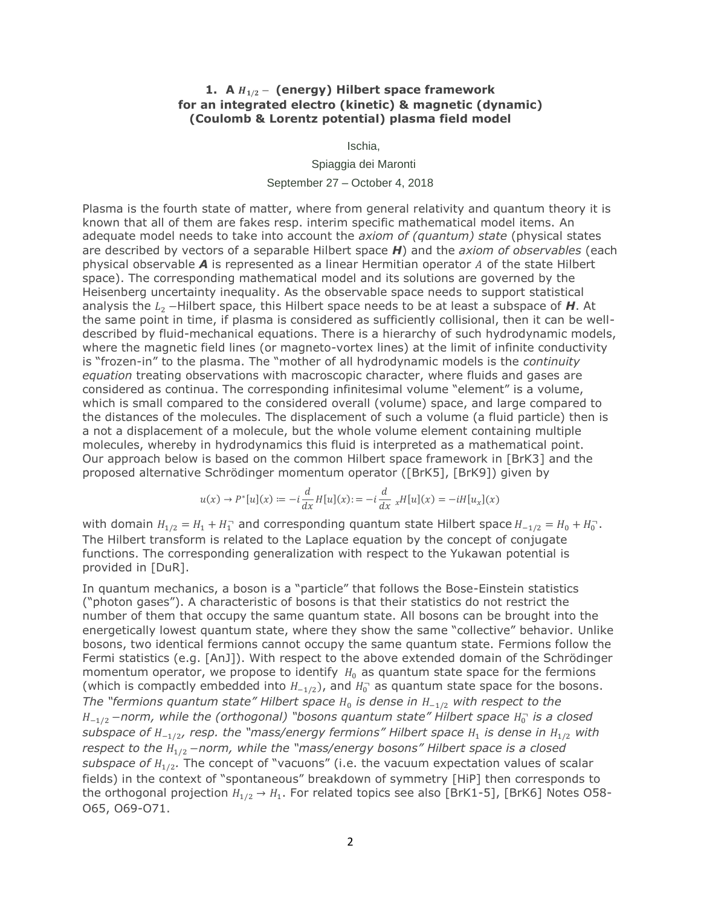## **1. A**  $H_{1/2}$  − (energy) Hilbert space framework **for an integrated electro (kinetic) & magnetic (dynamic) (Coulomb & Lorentz potential) plasma field model**

Ischia,

Spiaggia dei Maronti

September 27 – October 4, 2018

Plasma is the fourth state of matter, where from general relativity and quantum theory it is known that all of them are fakes resp. interim specific mathematical model items. An adequate model needs to take into account the *axiom of (quantum) state* (physical states are described by vectors of a separable Hilbert space *H*) and the *axiom of observables* (each physical observable **A** is represented as a linear Hermitian operator A of the state Hilbert space). The corresponding mathematical model and its solutions are governed by the Heisenberg uncertainty inequality. As the observable space needs to support statistical analysis the  $L_2$  −Hilbert space, this Hilbert space needs to be at least a subspace of *H*. At the same point in time, if plasma is considered as sufficiently collisional, then it can be welldescribed by fluid-mechanical equations. There is a hierarchy of such hydrodynamic models, where the magnetic field lines (or magneto-vortex lines) at the limit of infinite conductivity is "frozen-in" to the plasma. The "mother of all hydrodynamic models is the *continuity equation* treating observations with macroscopic character, where fluids and gases are considered as continua. The corresponding infinitesimal volume "element" is a volume, which is small compared to the considered overall (volume) space, and large compared to the distances of the molecules. The displacement of such a volume (a fluid particle) then is a not a displacement of a molecule, but the whole volume element containing multiple molecules, whereby in hydrodynamics this fluid is interpreted as a mathematical point. Our approach below is based on the common Hilbert space framework in [BrK3] and the proposed alternative Schrödinger momentum operator ([BrK5], [BrK9]) given by

$$
u(x) \to P^*[u](x) := -i \frac{d}{dx} H[u](x) := -i \frac{d}{dx} {}_{x} H[u](x) = -iH[u_x](x)
$$

with domain  $H_{1/2} = H_1 + H_1$  and corresponding quantum state Hilbert space  $H_{-1/2} = H_0 + H_0$ . The Hilbert transform is related to the Laplace equation by the concept of conjugate functions. The corresponding generalization with respect to the Yukawan potential is provided in [DuR].

In quantum mechanics, a boson is a "particle" that follows the Bose-Einstein statistics ("photon gases"). A characteristic of bosons is that their statistics do not restrict the number of them that occupy the same quantum state. All bosons can be brought into the energetically lowest quantum state, where they show the same "collective" behavior. Unlike bosons, two identical fermions cannot occupy the same quantum state. Fermions follow the Fermi statistics (e.g. [AnJ]). With respect to the above extended domain of the Schrödinger momentum operator, we propose to identify  $H_0$  as quantum state space for the fermions (which is compactly embedded into  $H_{-1/2}$ ), and  $H_0^-$  as quantum state space for the bosons. *The "fermions quantum state" Hilbert space H*<sub>0</sub> is dense in  $H_{−1/2}$  with respect to the  $H_{-1/2}$  −norm, while the (orthogonal) "bosons quantum state" Hilbert space  $H_0^-$  is a closed *subspace of H\_* $_{\rm 1/2}$ *, resp. the "mass/energy fermions" Hilbert space H* $_{\rm 1}$  *is dense in H* $_{\rm 1/2}$  *with respect to the* 1/2 −*norm, while the "mass/energy bosons" Hilbert space is a closed*  subspace of  $H_{1/2}$ . The concept of "vacuons" (i.e. the vacuum expectation values of scalar fields) in the context of "spontaneous" breakdown of symmetry [HiP] then corresponds to the orthogonal projection  $\mathit{H}_{1/2}\rightarrow \mathit{H}_{1}.$  For related topics see also [BrK1-5], [BrK6] Notes O58-O65, O69-O71.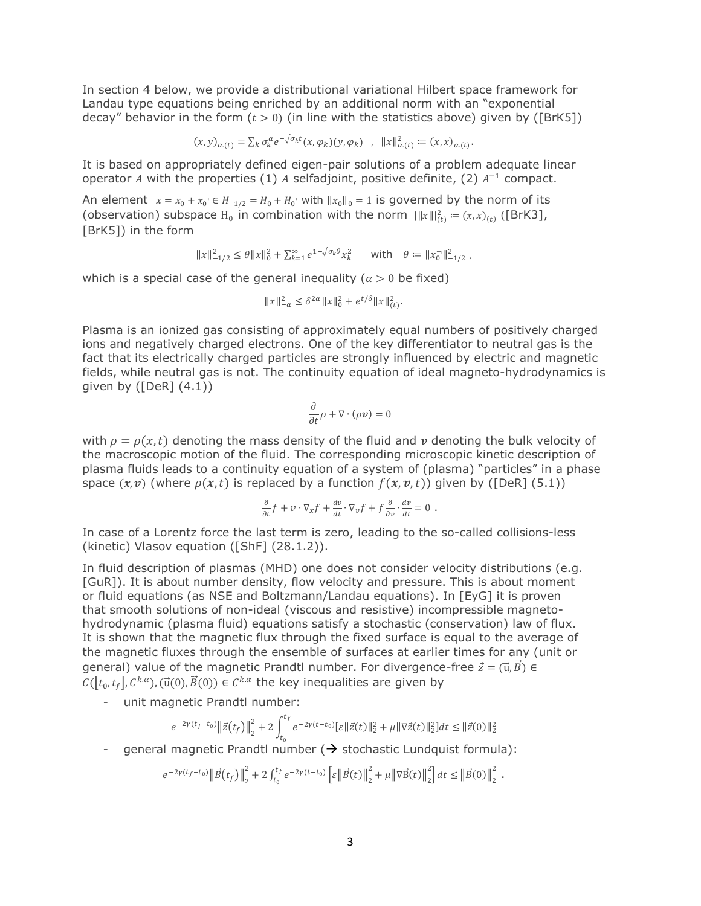In section 4 below, we provide a distributional variational Hilbert space framework for Landau type equations being enriched by an additional norm with an "exponential decay" behavior in the form  $(t > 0)$  (in line with the statistics above) given by ([BrK5])

$$
(x,y)_{\alpha,(t)} = \sum_{k} \sigma_k^{\alpha} e^{-\sqrt{\sigma_k}t} (x,\varphi_k)(y,\varphi_k) \quad , \quad ||x||_{\alpha,(t)}^2 := (x,x)_{\alpha,(t)}.
$$

It is based on appropriately defined eigen-pair solutions of a problem adequate linear operator A with the properties (1) A selfadjoint, positive definite, (2)  $A^{-1}$  compact.

An element  $x = x_0 + x_0^- \in H_{-1/2} = H_0 + H_0^-$  with  $||x_0||_0 = 1$  is governed by the norm of its (observation) subspace H<sub>0</sub> in combination with the norm  $\|x\|_{(t)}^2 = (x, x)_{(t)}$  ([BrK3], [BrK5]) in the form

$$
||x||_{-1/2}^2 \le \theta ||x||_0^2 + \sum_{k=1}^{\infty} e^{1-\sqrt{\sigma_k} \theta} x_k^2 \quad \text{with} \quad \theta := ||x_0||_{-1/2}^2 \ ,
$$

which is a special case of the general inequality ( $\alpha > 0$  be fixed)

$$
||x||_{-\alpha}^2 \le \delta^{2\alpha} ||x||_0^2 + e^{t/\delta} ||x||_{(t)}^2.
$$

Plasma is an ionized gas consisting of approximately equal numbers of positively charged ions and negatively charged electrons. One of the key differentiator to neutral gas is the fact that its electrically charged particles are strongly influenced by electric and magnetic fields, while neutral gas is not. The continuity equation of ideal magneto-hydrodynamics is given by  $( [DeR] (4.1) )$ 

$$
\frac{\partial}{\partial t}\rho+\nabla\cdot(\rho\textit{\textbf{v}})=0
$$

with  $\rho = \rho(x,t)$  denoting the mass density of the fluid and  $\nu$  denoting the bulk velocity of the macroscopic motion of the fluid. The corresponding microscopic kinetic description of plasma fluids leads to a continuity equation of a system of (plasma) "particles" in a phase space  $(x, v)$  (where  $\rho(x, t)$  is replaced by a function  $f(x, v, t)$ ) given by ([DeR] (5.1))

$$
\frac{\partial}{\partial t}f + v \cdot \nabla_x f + \frac{dv}{dt} \cdot \nabla_v f + f \frac{\partial}{\partial v} \cdot \frac{dv}{dt} = 0.
$$

In case of a Lorentz force the last term is zero, leading to the so-called collisions-less (kinetic) Vlasov equation ([ShF] (28.1.2)).

In fluid description of plasmas (MHD) one does not consider velocity distributions (e.g. [GuR]). It is about number density, flow velocity and pressure. This is about moment or fluid equations (as NSE and Boltzmann/Landau equations). In [EyG] it is proven that smooth solutions of non-ideal (viscous and resistive) incompressible magnetohydrodynamic (plasma fluid) equations satisfy a stochastic (conservation) law of flux. It is shown that the magnetic flux through the fixed surface is equal to the average of the magnetic fluxes through the ensemble of surfaces at earlier times for any (unit or general) value of the magnetic Prandtl number. For divergence-free  $\vec{z} = (\vec{u}, \vec{B}) \in$  $C([t_0,t_f], C^{k,\alpha})$ , ( $\vec{u}(0), \vec{B}(0)) \in C^{k,\alpha}$  the key inequalities are given by

- unit magnetic Prandtl number:

$$
e^{-2\gamma(t_f-t_0)}\left\|\vec{z}\big(t_f\big)\right\|_2^2+2\int_{t_0}^{t_f}e^{-2\gamma(t-t_0)}[\varepsilon\|\vec{z}(t)\|_2^2+\mu\|\nabla\vec{z}(t)\|_2^2]dt\leq \|\vec{z}(0)\|_2^2
$$

general magnetic Prandtl number ( $\rightarrow$  stochastic Lundquist formula):

$$
e^{-2\gamma(t_f-t_0)}\left\|\vec{B}(t_f)\right\|_{2}^{2}+2\int_{t_0}^{t_f}e^{-2\gamma(t-t_0)}\left[\varepsilon\left\|\vec{B}(t)\right\|_{2}^{2}+\mu\left\|\nabla\vec{B}(t)\right\|_{2}^{2}\right]dt\leq\left\|\vec{B}(0)\right\|_{2}^{2}.
$$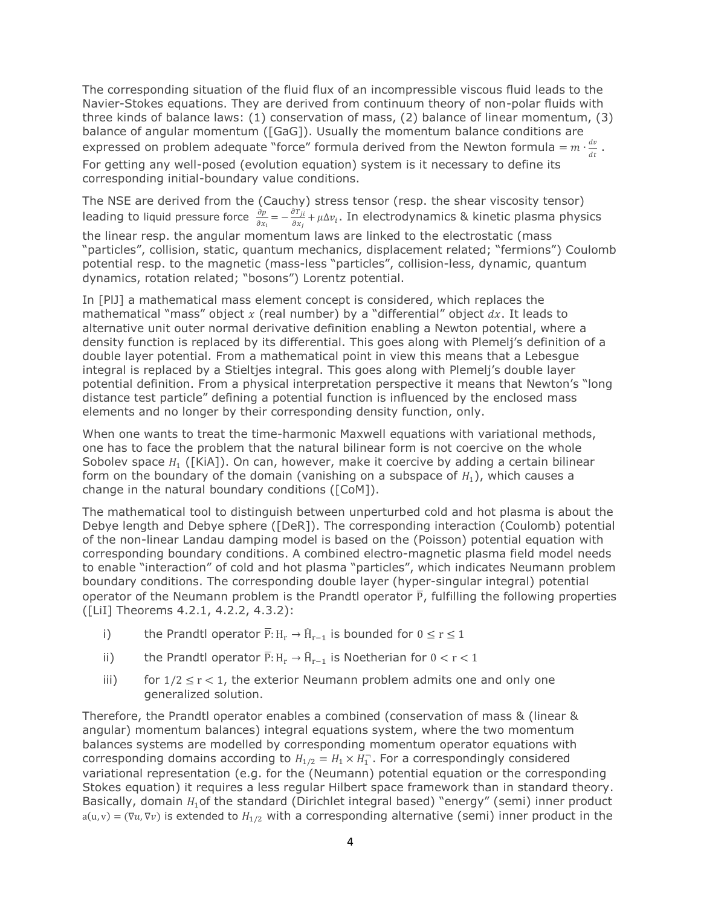The corresponding situation of the fluid flux of an incompressible viscous fluid leads to the Navier-Stokes equations. They are derived from continuum theory of non-polar fluids with three kinds of balance laws: (1) conservation of mass, (2) balance of linear momentum, (3) balance of angular momentum ([GaG]). Usually the momentum balance conditions are expressed on problem adequate "force" formula derived from the Newton formula =  $m \cdot \frac{dv}{dt}$  $\frac{dv}{dt}$ . For getting any well-posed (evolution equation) system is it necessary to define its corresponding initial-boundary value conditions.

The NSE are derived from the (Cauchy) stress tensor (resp. the shear viscosity tensor) leading to liquid pressure force  $\frac{\partial p}{\partial x}$  $\frac{\partial p}{\partial x_i} = -\frac{\partial T_{ji}}{\partial x_j}$  $\frac{\partial H_{ji}}{\partial x_j}$ + $\mu$ ∆ $v_i$ . In electrodynamics & kinetic plasma physics the linear resp. the angular momentum laws are linked to the electrostatic (mass "particles", collision, static, quantum mechanics, displacement related; "fermions") Coulomb potential resp. to the magnetic (mass-less "particles", collision-less, dynamic, quantum dynamics, rotation related; "bosons") Lorentz potential.

In [PlJ] a mathematical mass element concept is considered, which replaces the mathematical "mass" object  $x$  (real number) by a "differential" object  $dx$ . It leads to alternative unit outer normal derivative definition enabling a Newton potential, where a density function is replaced by its differential. This goes along with Plemelj's definition of a double layer potential. From a mathematical point in view this means that a Lebesgue integral is replaced by a Stieltjes integral. This goes along with Plemelj's double layer potential definition. From a physical interpretation perspective it means that Newton's "long distance test particle" defining a potential function is influenced by the enclosed mass elements and no longer by their corresponding density function, only.

When one wants to treat the time-harmonic Maxwell equations with variational methods, one has to face the problem that the natural bilinear form is not coercive on the whole Sobolev space  $H_1$  ([KiA]). On can, however, make it coercive by adding a certain bilinear form on the boundary of the domain (vanishing on a subspace of  $H_1$ ), which causes a change in the natural boundary conditions ([CoM]).

The mathematical tool to distinguish between unperturbed cold and hot plasma is about the Debye length and Debye sphere ([DeR]). The corresponding interaction (Coulomb) potential of the non-linear Landau damping model is based on the (Poisson) potential equation with corresponding boundary conditions. A combined electro-magnetic plasma field model needs to enable "interaction" of cold and hot plasma "particles", which indicates Neumann problem boundary conditions. The corresponding double layer (hyper-singular integral) potential operator of the Neumann problem is the Prandtl operator  $\overline{P}$ , fulfilling the following properties ([LiI] Theorems 4.2.1, 4.2.2, 4.3.2):

- i) the Prandtl operator  $\overline{P}: H_r \to \widehat{H}_{r-1}$  is bounded for  $0 \le r \le 1$
- ii) the Prandtl operator  $\overline{P}$ : H<sub>r</sub> →  $\widehat{H}_{r-1}$  is Noetherian for  $0 < r < 1$
- iii) for  $1/2 \le r < 1$ , the exterior Neumann problem admits one and only one generalized solution.

Therefore, the Prandtl operator enables a combined (conservation of mass & (linear & angular) momentum balances) integral equations system, where the two momentum balances systems are modelled by corresponding momentum operator equations with corresponding domains according to  $H_{1/2} = H_1 \times H_1$ . For a correspondingly considered variational representation (e.g. for the (Neumann) potential equation or the corresponding Stokes equation) it requires a less regular Hilbert space framework than in standard theory. Basically, domain  $H_1$  of the standard (Dirichlet integral based) "energy" (semi) inner product  $a(u, v) = (\nabla u, \nabla v)$  is extended to  $H_{1/2}$  with a corresponding alternative (semi) inner product in the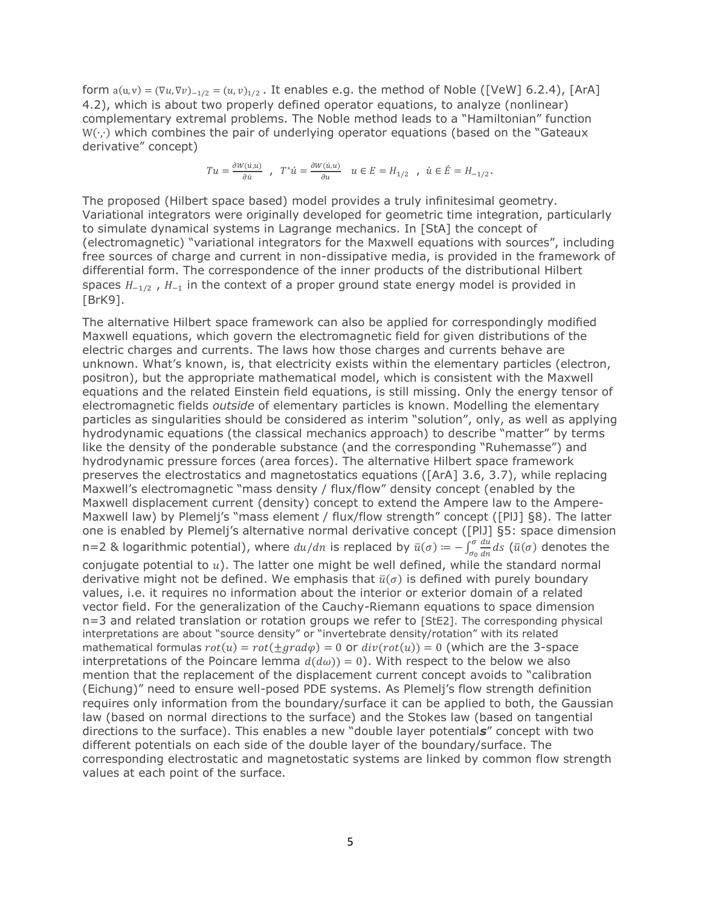form  $a(u, v) = (\nabla u, \nabla v)_{-1/2} = (u, v)_{1/2}$ . It enables e.g. the method of Noble ([VeW] 6.2.4), [ArA] 4.2), which is about two properly defined operator equations, to analyze (nonlinear) complementary extremal problems. The Noble method leads to a "Hamiltonian" function W(∙,∙) which combines the pair of underlying operator equations (based on the "Gateaux derivative" concept)

$$
Tu=\frac{\partial W(\acute{u},u)}{\partial\dot{u}}\ ,\ \ T^*\acute{u}=\frac{\partial W(\acute{u},u)}{\partial u}\quad u\in E=H_{1/2}\ \ ,\ \ \acute{u}\in \acute{E}=H_{-1/2}\, .
$$

The proposed (Hilbert space based) model provides a truly infinitesimal geometry. Variational integrators were originally developed for geometric time integration, particularly to simulate dynamical systems in Lagrange mechanics. In [StA] the concept of (electromagnetic) "variational integrators for the Maxwell equations with sources", including free sources of charge and current in non-dissipative media, is provided in the framework of differential form. The correspondence of the inner products of the distributional Hilbert spaces  $H_{-1/2}$  ,  $H_{-1}$  in the context of a proper ground state energy model is provided in [BrK9].

The alternative Hilbert space framework can also be applied for correspondingly modified Maxwell equations, which govern the electromagnetic field for given distributions of the electric charges and currents. The laws how those charges and currents behave are unknown. What's known, is, that electricity exists within the elementary particles (electron, positron), but the appropriate mathematical model, which is consistent with the Maxwell equations and the related Einstein field equations, is still missing. Only the energy tensor of electromagnetic fields *outside* of elementary particles is known. Modelling the elementary particles as singularities should be considered as interim "solution", only, as well as applying hydrodynamic equations (the classical mechanics approach) to describe "matter" by terms like the density of the ponderable substance (and the corresponding "Ruhemasse") and hydrodynamic pressure forces (area forces). The alternative Hilbert space framework preserves the electrostatics and magnetostatics equations ([ArA] 3.6, 3.7), while replacing Maxwell's electromagnetic "mass density / flux/flow" density concept (enabled by the Maxwell displacement current (density) concept to extend the Ampere law to the Ampere-Maxwell law) by Plemelj's "mass element / flux/flow strength" concept ([PlJ] §8). The latter one is enabled by Plemelj's alternative normal derivative concept ([PlJ] §5: space dimension n=2 & logarithmic potential), where  $du/dn$  is replaced by  $\bar{u}(\sigma) = -\int_{\sigma}^{\sigma} \frac{du}{d\sigma}$  $\frac{\sigma}{\sigma_0} \frac{du}{dn} ds$  ( $\bar{u}(\sigma)$  denotes the conjugate potential to  $u$ ). The latter one might be well defined, while the standard normal derivative might not be defined. We emphasis that  $\bar{u}(\sigma)$  is defined with purely boundary values, i.e. it requires no information about the interior or exterior domain of a related vector field. For the generalization of the Cauchy-Riemann equations to space dimension n=3 and related translation or rotation groups we refer to [StE2]. The corresponding physical interpretations are about "source density" or "invertebrate density/rotation" with its related mathematical formulas  $rot(u) = rot(\pm grad\varphi) = 0$  or  $div(rot(u)) = 0$  (which are the 3-space interpretations of the Poincare lemma  $d(d\omega) = 0$ . With respect to the below we also mention that the replacement of the displacement current concept avoids to "calibration (Eichung)" need to ensure well-posed PDE systems. As Plemelj's flow strength definition requires only information from the boundary/surface it can be applied to both, the Gaussian law (based on normal directions to the surface) and the Stokes law (based on tangential directions to the surface). This enables a new "double layer potential*s*" concept with two different potentials on each side of the double layer of the boundary/surface. The corresponding electrostatic and magnetostatic systems are linked by common flow strength values at each point of the surface.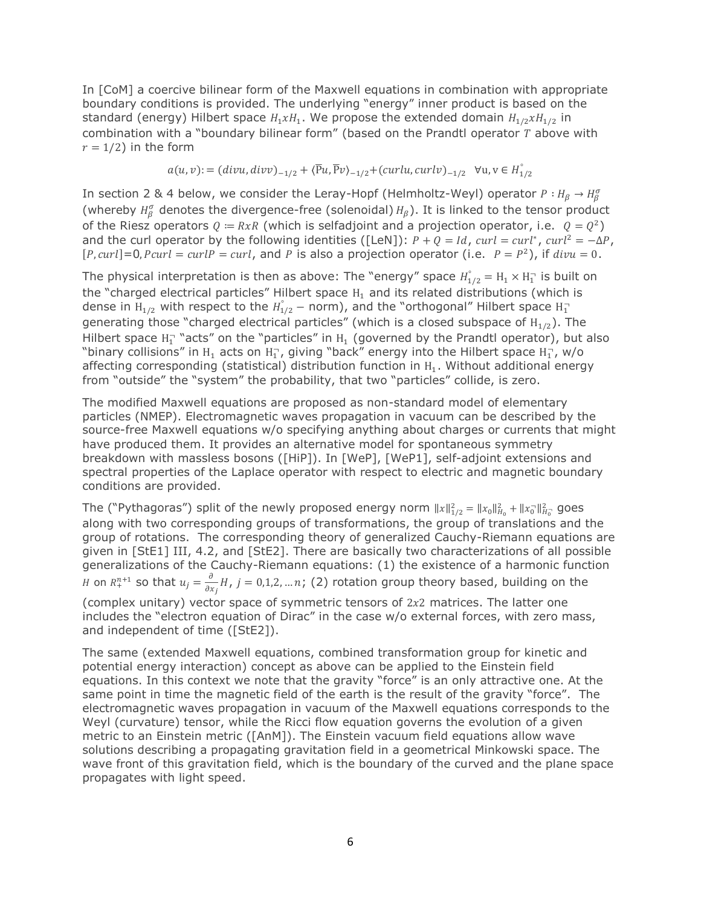In [CoM] a coercive bilinear form of the Maxwell equations in combination with appropriate boundary conditions is provided. The underlying "energy" inner product is based on the standard (energy) Hilbert space  $H_1xH_1$ . We propose the extended domain  $H_{1/2}xH_{1/2}$  in combination with a "boundary bilinear form" (based on the Prandtl operator  $T$  above with  $r = 1/2$ ) in the form

$$
a(u, v) := (divu, divv)_{-1/2} + \langle \overline{P}u, \overline{P}v \rangle_{-1/2} + (curlu, curlv)_{-1/2} \quad \forall u, v \in H_{1/2}^{\circ}
$$

In section 2 & 4 below, we consider the Leray-Hopf (Helmholtz-Weyl) operator  $P: H_\beta\to H_\beta^\sigma$ (whereby  $H^{\sigma}_{\beta}$  denotes the divergence-free (solenoidal)  $H_{\beta}$ ). It is linked to the tensor product of the Riesz operators  $Q = RxR$  (which is selfadjoint and a projection operator, i.e.  $Q = Q^2$ ) and the curl operator by the following identities ([LeN]):  $P + Q = Id$ ,  $curl = curl^*$ ,  $curl^2 = -\Delta P$ ,  $[P, curl] = 0, Pcurl = curl P = curl$ , and P is also a projection operator (i.e.  $P = P^2$ ), if  $divu = 0$ .

The physical interpretation is then as above: The "energy" space  $H_{1/2}^{\circ} = H_1 \times H_1^{\circ}$  is built on the "charged electrical particles" Hilbert space  $H_1$  and its related distributions (which is dense in  $\rm{H}_{1/2}$  with respect to the  $\rm{H}_{1/2}^{^\circ}-$  norm), and the "orthogonal" Hilbert space  $\rm{H}_{1}^{-}$ generating those "charged electrical particles" (which is a closed subspace of  $H_{1/2}$ ). The Hilbert space  $H_1^-$  "acts" on the "particles" in  $H_1$  (governed by the Prandtl operator), but also "binary collisions" in  $H_1$  acts on  $H_1$ , giving "back" energy into the Hilbert space  $H_1$ , w/o affecting corresponding (statistical) distribution function in  $H_1$ . Without additional energy from "outside" the "system" the probability, that two "particles" collide, is zero.

The modified Maxwell equations are proposed as non-standard model of elementary particles (NMEP). Electromagnetic waves propagation in vacuum can be described by the source-free Maxwell equations w/o specifying anything about charges or currents that might have produced them. It provides an alternative model for spontaneous symmetry breakdown with massless bosons ([HiP]). In [WeP], [WeP1], self-adjoint extensions and spectral properties of the Laplace operator with respect to electric and magnetic boundary conditions are provided.

The ("Pythagoras") split of the newly proposed energy norm  $||x||_{1/2}^2 = ||x_0||_{H_0}^2 + ||x_0||_{H_0}^2$  goes along with two corresponding groups of transformations, the group of translations and the group of rotations. The corresponding theory of generalized Cauchy-Riemann equations are given in [StE1] III, 4.2, and [StE2]. There are basically two characterizations of all possible generalizations of the Cauchy-Riemann equations: (1) the existence of a harmonic function *H* on  $R^{n+1}_+$  so that  $u_j = \frac{\partial}{\partial x_j}$  $\frac{\partial}{\partial x_j}H$ ,  $j=0,1,2,...n$ ; (2) rotation group theory based, building on the (complex unitary) vector space of symmetric tensors of  $2x^2$  matrices. The latter one includes the "electron equation of Dirac" in the case w/o external forces, with zero mass, and independent of time ([StE2]).

The same (extended Maxwell equations, combined transformation group for kinetic and potential energy interaction) concept as above can be applied to the Einstein field equations. In this context we note that the gravity "force" is an only attractive one. At the same point in time the magnetic field of the earth is the result of the gravity "force". The electromagnetic waves propagation in vacuum of the Maxwell equations corresponds to the Weyl (curvature) tensor, while the Ricci flow equation governs the evolution of a given metric to an Einstein metric ([AnM]). The Einstein vacuum field equations allow wave solutions describing a propagating gravitation field in a geometrical Minkowski space. The wave front of this gravitation field, which is the boundary of the curved and the plane space propagates with light speed.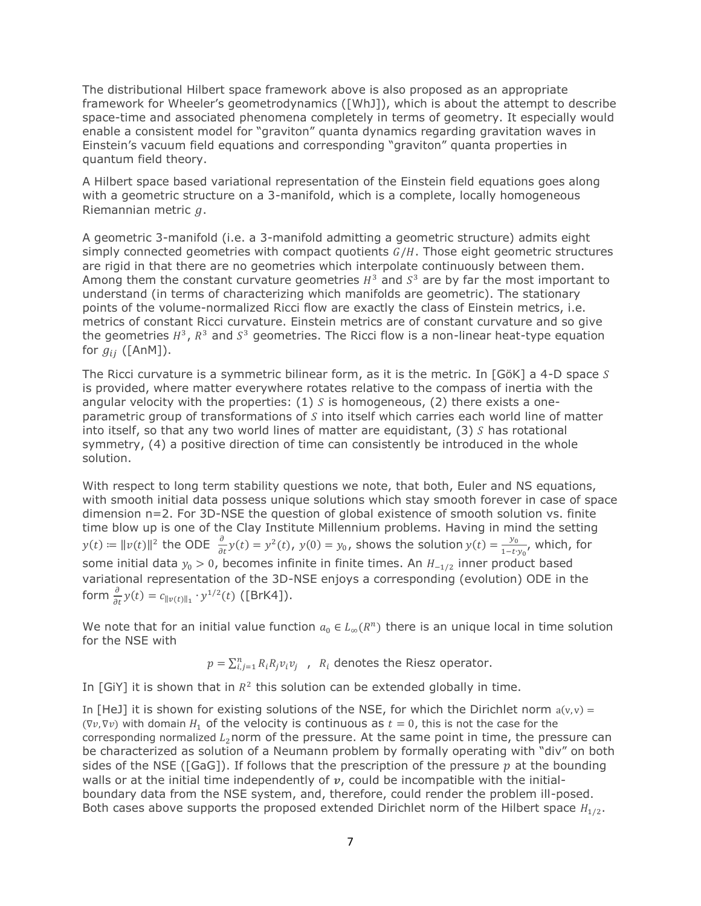The distributional Hilbert space framework above is also proposed as an appropriate framework for Wheeler's geometrodynamics ([WhJ]), which is about the attempt to describe space-time and associated phenomena completely in terms of geometry. It especially would enable a consistent model for "graviton" quanta dynamics regarding gravitation waves in Einstein's vacuum field equations and corresponding "graviton" quanta properties in quantum field theory.

A Hilbert space based variational representation of the Einstein field equations goes along with a geometric structure on a 3-manifold, which is a complete, locally homogeneous Riemannian metric  $q$ .

A geometric 3-manifold (i.e. a 3-manifold admitting a geometric structure) admits eight simply connected geometries with compact quotients  $G/H$ . Those eight geometric structures are rigid in that there are no geometries which interpolate continuously between them. Among them the constant curvature geometries  $H^3$  and  $S^3$  are by far the most important to understand (in terms of characterizing which manifolds are geometric). The stationary points of the volume-normalized Ricci flow are exactly the class of Einstein metrics, i.e. metrics of constant Ricci curvature. Einstein metrics are of constant curvature and so give the geometries  $H^3$ ,  $R^3$  and  $S^3$  geometries. The Ricci flow is a non-linear heat-type equation for  $g_{ii}$  ([AnM]).

The Ricci curvature is a symmetric bilinear form, as it is the metric. In  $[G\ddot{o}K]$  a 4-D space S is provided, where matter everywhere rotates relative to the compass of inertia with the angular velocity with the properties:  $(1)$  S is homogeneous,  $(2)$  there exists a oneparametric group of transformations of  $S$  into itself which carries each world line of matter into itself, so that any two world lines of matter are equidistant,  $(3)$  S has rotational symmetry, (4) a positive direction of time can consistently be introduced in the whole solution.

With respect to long term stability questions we note, that both, Euler and NS equations, with smooth initial data possess unique solutions which stay smooth forever in case of space dimension n=2. For 3D-NSE the question of global existence of smooth solution vs. finite time blow up is one of the Clay Institute Millennium problems. Having in mind the setting  $y(t) \coloneqq \|v(t)\|^2$  the ODE  $\frac{\partial}{\partial t}y(t) = y^2(t)$ ,  $y(0) = y_0$ , shows the solution  $y(t) = \frac{y_0}{1-t}$  $\frac{y_0}{1-t \cdot y_0}$ , which, for some initial data  $y_0 > 0$ , becomes infinite in finite times. An  $H_{-1/2}$  inner product based variational representation of the 3D-NSE enjoys a corresponding (evolution) ODE in the form  $\frac{\partial}{\partial t} y(t) = c_{\|v(t)\|_1} \cdot y^{1/2}(t)$  ([BrK4]).

We note that for an initial value function  $a_0 \in L_\infty(R^n)$  there is an unique local in time solution for the NSE with

 $p = \sum_{i,j=1}^n R_i R_j v_i v_j$ ,  $R_i$  denotes the Riesz operator.

In [GiY] it is shown that in  $R^2$  this solution can be extended globally in time.

In [HeJ] it is shown for existing solutions of the NSE, for which the Dirichlet norm  $a(v, v) =$ ( $\nabla v$ ,  $\nabla v$ ) with domain  $H_1$  of the velocity is continuous as  $t = 0$ , this is not the case for the corresponding normalized  $L_2$ norm of the pressure. At the same point in time, the pressure can be characterized as solution of a Neumann problem by formally operating with "div" on both sides of the NSE ([GaG]). If follows that the prescription of the pressure  $p$  at the bounding walls or at the initial time independently of  $v$ , could be incompatible with the initialboundary data from the NSE system, and, therefore, could render the problem ill-posed. Both cases above supports the proposed extended Dirichlet norm of the Hilbert space  $H_{1/2}$ .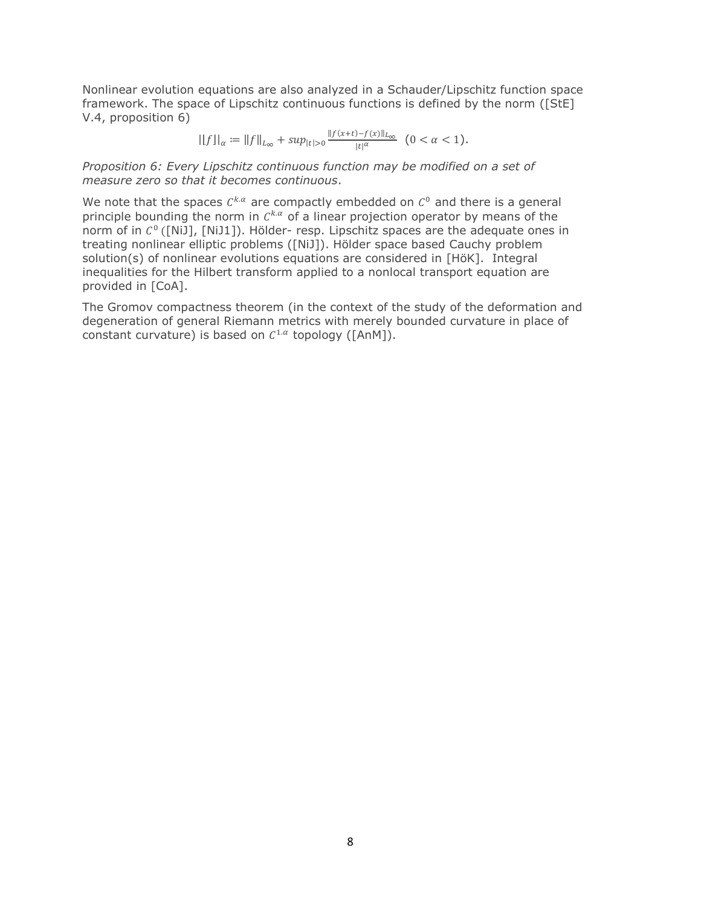Nonlinear evolution equations are also analyzed in a Schauder/Lipschitz function space framework. The space of Lipschitz continuous functions is defined by the norm ([StE] V.4, proposition 6)

$$
||f||_{\alpha} := ||f||_{L_{\infty}} + \sup_{|t|>0} \frac{||f(x+t) - f(x)||_{L_{\infty}}}{|t|^{\alpha}} \ (0 < \alpha < 1).
$$

*Proposition 6: Every Lipschitz continuous function may be modified on a set of measure zero so that it becomes continuous*.

We note that the spaces  $C^{k,\alpha}$  are compactly embedded on  $C^0$  and there is a general principle bounding the norm in  $C^{k,\alpha}$  of a linear projection operator by means of the norm of in  $C<sup>0</sup>$  ([NiJ], [NiJ1]). Hölder- resp. Lipschitz spaces are the adequate ones in treating nonlinear elliptic problems ([NiJ]). Hölder space based Cauchy problem solution(s) of nonlinear evolutions equations are considered in [HöK]. Integral inequalities for the Hilbert transform applied to a nonlocal transport equation are provided in [CoA].

The Gromov compactness theorem (in the context of the study of the deformation and degeneration of general Riemann metrics with merely bounded curvature in place of constant curvature) is based on  $C^{1,\alpha}$  topology ([AnM]).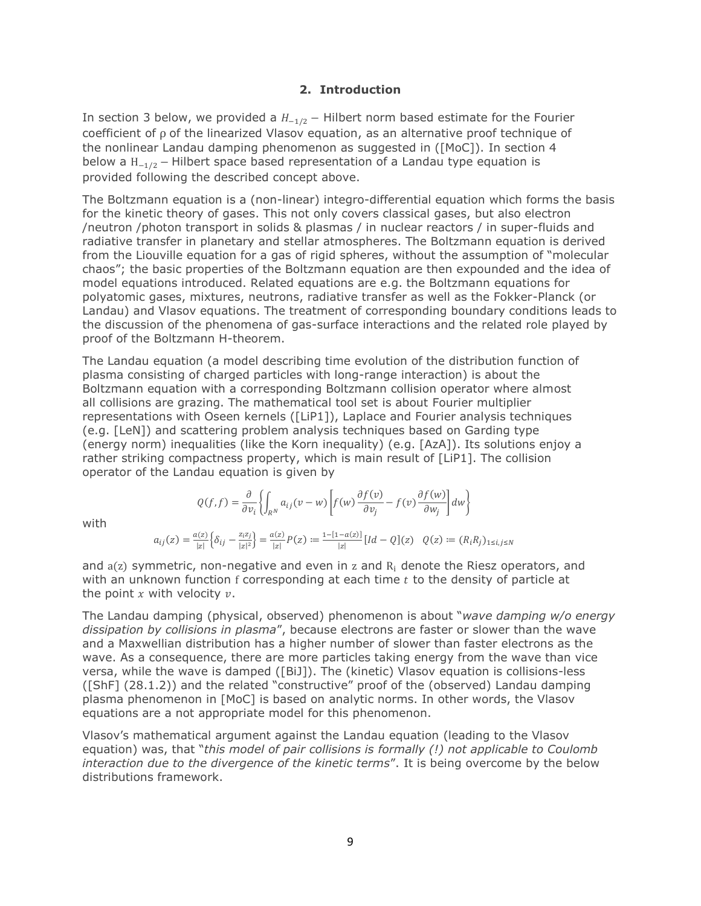## **2. Introduction**

In section 3 below, we provided a  $H_{-1/2}$  – Hilbert norm based estimate for the Fourier coefficient of ρ of the linearized Vlasov equation, as an alternative proof technique of the nonlinear Landau damping phenomenon as suggested in ([MoC]). In section 4 below a  $H_{-1/2}$  – Hilbert space based representation of a Landau type equation is provided following the described concept above.

The Boltzmann equation is a (non-linear) integro-differential equation which forms the basis for the kinetic theory of gases. This not only covers classical gases, but also electron /neutron /photon transport in solids & plasmas / in nuclear reactors / in super-fluids and radiative transfer in planetary and stellar atmospheres. The Boltzmann equation is derived from the Liouville equation for a gas of rigid spheres, without the assumption of "molecular chaos"; the basic properties of the Boltzmann equation are then expounded and the idea of model equations introduced. Related equations are e.g. the Boltzmann equations for polyatomic gases, mixtures, neutrons, radiative transfer as well as the Fokker-Planck (or Landau) and Vlasov equations. The treatment of corresponding boundary conditions leads to the discussion of the phenomena of gas-surface interactions and the related role played by proof of the Boltzmann H-theorem.

The Landau equation (a model describing time evolution of the distribution function of plasma consisting of charged particles with long-range interaction) is about the Boltzmann equation with a corresponding Boltzmann collision operator where almost all collisions are grazing. The mathematical tool set is about Fourier multiplier representations with Oseen kernels ([LiP1]), Laplace and Fourier analysis techniques (e.g. [LeN]) and scattering problem analysis techniques based on Garding type (energy norm) inequalities (like the Korn inequality) (e.g. [AzA]). Its solutions enjoy a rather striking compactness property, which is main result of [LiP1]. The collision operator of the Landau equation is given by

$$
Q(f, f) = \frac{\partial}{\partial v_i} \left\{ \int_{R^N} a_{ij}(v - w) \left[ f(w) \frac{\partial f(v)}{\partial v_j} - f(v) \frac{\partial f(w)}{\partial w_j} \right] dw \right\}
$$

with

$$
a_{ij}(z) = \frac{a(z)}{|z|} \Big\{ \delta_{ij} - \frac{z_iz_j}{|z|^2} \Big\} = \frac{a(z)}{|z|} P(z) := \frac{1 - [1 - a(z)]}{|z|} [Id - Q](z) \quad Q(z) := (R_i R_j)_{1 \le i, j \le N}
$$

and  $a(z)$  symmetric, non-negative and even in z and  $R_i$  denote the Riesz operators, and with an unknown function f corresponding at each time  $t$  to the density of particle at the point  $x$  with velocity  $v$ .

The Landau damping (physical, observed) phenomenon is about "*wave damping w/o energy dissipation by collisions in plasma*", because electrons are faster or slower than the wave and a Maxwellian distribution has a higher number of slower than faster electrons as the wave. As a consequence, there are more particles taking energy from the wave than vice versa, while the wave is damped ([BiJ]). The (kinetic) Vlasov equation is collisions-less ([ShF] (28.1.2)) and the related "constructive" proof of the (observed) Landau damping plasma phenomenon in [MoC] is based on analytic norms. In other words, the Vlasov equations are a not appropriate model for this phenomenon.

Vlasov's mathematical argument against the Landau equation (leading to the Vlasov equation) was, that "*this model of pair collisions is formally (!) not applicable to Coulomb interaction due to the divergence of the kinetic terms*". It is being overcome by the below distributions framework.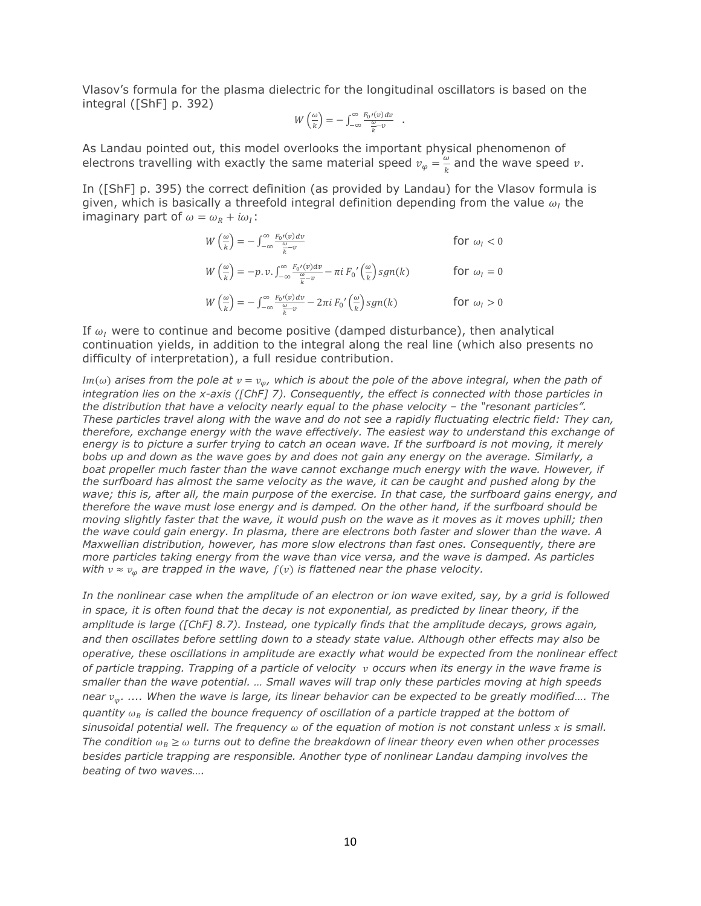Vlasov's formula for the plasma dielectric for the longitudinal oscillators is based on the integral ([ShF] p. 392)

$$
W\left(\frac{\omega}{k}\right) = -\int_{-\infty}^{\infty} \frac{F_0\prime(v)dv}{\frac{\omega}{k} - v} .
$$

As Landau pointed out, this model overlooks the important physical phenomenon of electrons travelling with exactly the same material speed  $v_{\varphi} = \frac{\omega}{k}$  $\frac{w}{k}$  and the wave speed  $v$ .

In ([ShF] p. 395) the correct definition (as provided by Landau) for the Vlasov formula is given, which is basically a threefold integral definition depending from the value  $\omega_I$  the imaginary part of  $\omega = \omega_R + i\omega_I$ :

$$
W\left(\frac{\omega}{k}\right) = -\int_{-\infty}^{\infty} \frac{F_0 I(v) dv}{\frac{\omega}{k} - v}
$$
 for  $\omega_I < 0$   
\n
$$
W\left(\frac{\omega}{k}\right) = -p \cdot v \cdot \int_{-\infty}^{\infty} \frac{F_0 I(v) dv}{\frac{\omega}{k} - v} - \pi i F_0 \left(\frac{\omega}{k}\right) sgn(k)
$$
 for  $\omega_I = 0$   
\n
$$
W\left(\frac{\omega}{k}\right) = -\int_{-\infty}^{\infty} \frac{F_0 I(v) dv}{\frac{\omega}{k} - v} - 2\pi i F_0 \left(\frac{\omega}{k}\right) sgn(k)
$$
 for  $\omega_I > 0$ 

If  $\omega_I$  were to continue and become positive (damped disturbance), then analytical continuation yields, in addition to the integral along the real line (which also presents no difficulty of interpretation), a full residue contribution.

 $Im(\omega)$  arises from the pole at  $v = v_{\omega}$ , which is about the pole of the above integral, when the path of *integration lies on the x-axis ([ChF] 7). Consequently, the effect is connected with those particles in the distribution that have a velocity nearly equal to the phase velocity - the "resonant particles". These particles travel along with the wave and do not see a rapidly fluctuating electric field: They can, therefore, exchange energy with the wave effectively. The easiest way to understand this exchange of energy is to picture a surfer trying to catch an ocean wave. If the surfboard is not moving, it merely bobs up and down as the wave goes by and does not gain any energy on the average. Similarly, a boat propeller much faster than the wave cannot exchange much energy with the wave. However, if the surfboard has almost the same velocity as the wave, it can be caught and pushed along by the wave; this is, after all, the main purpose of the exercise. In that case, the surfboard gains energy, and therefore the wave must lose energy and is damped. On the other hand, if the surfboard should be moving slightly faster that the wave, it would push on the wave as it moves as it moves uphill; then the wave could gain energy. In plasma, there are electrons both faster and slower than the wave. A Maxwellian distribution, however, has more slow electrons than fast ones. Consequently, there are more particles taking energy from the wave than vice versa, and the wave is damped. As particles with*  $v \approx v_{\omega}$  are trapped in the wave,  $f(v)$  is flattened near the phase velocity.

*In the nonlinear case when the amplitude of an electron or ion wave exited, say, by a grid is followed in space, it is often found that the decay is not exponential, as predicted by linear theory, if the amplitude is large ([ChF] 8.7). Instead, one typically finds that the amplitude decays, grows again, and then oscillates before settling down to a steady state value. Although other effects may also be operative, these oscillations in amplitude are exactly what would be expected from the nonlinear effect of particle trapping. Trapping of a particle of velocity occurs when its energy in the wave frame is smaller than the wave potential. … Small waves will trap only these particles moving at high speeds near . .... When the wave is large, its linear behavior can be expected to be greatly modified…. The quantity is called the bounce frequency of oscillation of a particle trapped at the bottom of sinusoidal potential well. The frequency of the equation of motion is not constant unless is small. The condition*  $\omega_B \geq \omega$  turns out to define the breakdown of linear theory even when other processes *besides particle trapping are responsible. Another type of nonlinear Landau damping involves the beating of two waves….*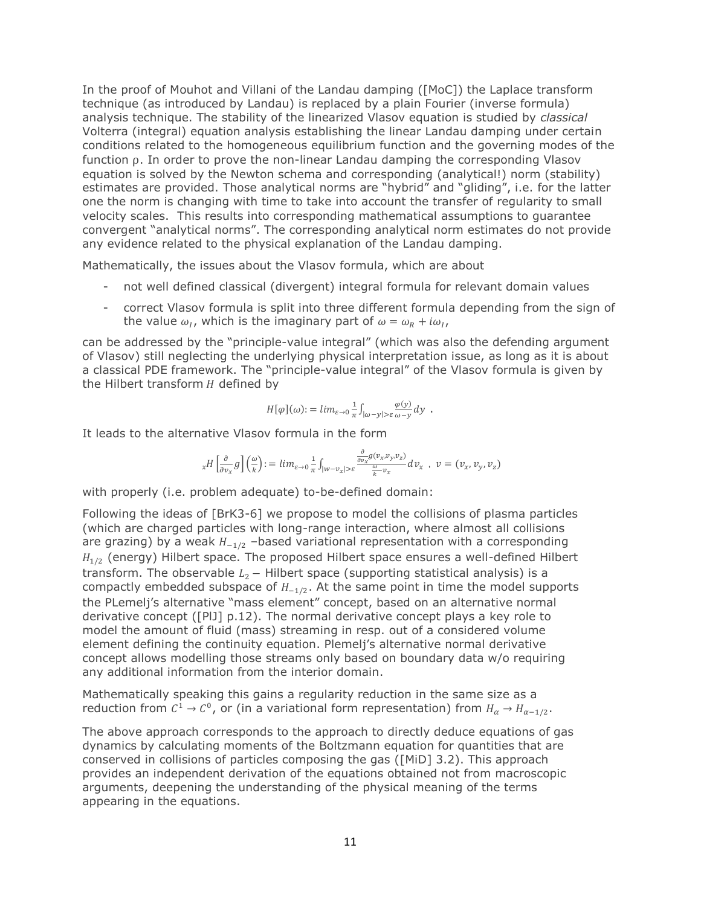In the proof of Mouhot and Villani of the Landau damping ([MoC]) the Laplace transform technique (as introduced by Landau) is replaced by a plain Fourier (inverse formula) analysis technique. The stability of the linearized Vlasov equation is studied by *classical* Volterra (integral) equation analysis establishing the linear Landau damping under certain conditions related to the homogeneous equilibrium function and the governing modes of the function ρ. In order to prove the non-linear Landau damping the corresponding Vlasov equation is solved by the Newton schema and corresponding (analytical!) norm (stability) estimates are provided. Those analytical norms are "hybrid" and "gliding", i.e. for the latter one the norm is changing with time to take into account the transfer of regularity to small velocity scales. This results into corresponding mathematical assumptions to guarantee convergent "analytical norms". The corresponding analytical norm estimates do not provide any evidence related to the physical explanation of the Landau damping.

Mathematically, the issues about the Vlasov formula, which are about

- not well defined classical (divergent) integral formula for relevant domain values
- correct Vlasov formula is split into three different formula depending from the sign of the value  $\omega_I$ , which is the imaginary part of  $\omega = \omega_R + i\omega_I$ ,

can be addressed by the "principle-value integral" (which was also the defending argument of Vlasov) still neglecting the underlying physical interpretation issue, as long as it is about a classical PDE framework. The "principle-value integral" of the Vlasov formula is given by the Hilbert transform  $H$  defined by

$$
H[\varphi](\omega) := \lim_{\varepsilon \to 0} \frac{1}{\pi} \int_{|\omega - y| > \varepsilon} \frac{\varphi(y)}{\omega - y} dy \enspace .
$$

It leads to the alternative Vlasov formula in the form

$$
_{x}H\left[\frac{\partial}{\partial v_{x}}g\right]\left(\frac{\omega}{k}\right):=lim_{\varepsilon\to 0}\frac{1}{\pi}\int_{|w-v_{x}|>\varepsilon}\frac{\frac{\partial}{\partial v_{x}}g(v_{x},v_{y},v_{z})}{\frac{\omega}{k}-v_{x}}dv_{x}\;,\;v=(v_{x},v_{y},v_{z})
$$

with properly (i.e. problem adequate) to-be-defined domain:

Following the ideas of [BrK3-6] we propose to model the collisions of plasma particles (which are charged particles with long-range interaction, where almost all collisions are grazing) by a weak  $H_{-1/2}$  –based variational representation with a corresponding  $H_{1/2}$  (energy) Hilbert space. The proposed Hilbert space ensures a well-defined Hilbert transform. The observable  $L_2$  – Hilbert space (supporting statistical analysis) is a compactly embedded subspace of  $H_{-1/2}$ . At the same point in time the model supports the PLemelj's alternative "mass element" concept, based on an alternative normal derivative concept ([PlJ] p.12). The normal derivative concept plays a key role to model the amount of fluid (mass) streaming in resp. out of a considered volume element defining the continuity equation. Plemelj's alternative normal derivative concept allows modelling those streams only based on boundary data w/o requiring any additional information from the interior domain.

Mathematically speaking this gains a regularity reduction in the same size as a reduction from  $C^1 \to C^0$ , or (in a variational form representation) from  $H_\alpha \to H_{\alpha-1/2}$ .

The above approach corresponds to the approach to directly deduce equations of gas dynamics by calculating moments of the Boltzmann equation for quantities that are conserved in collisions of particles composing the gas ([MiD] 3.2). This approach provides an independent derivation of the equations obtained not from macroscopic arguments, deepening the understanding of the physical meaning of the terms appearing in the equations.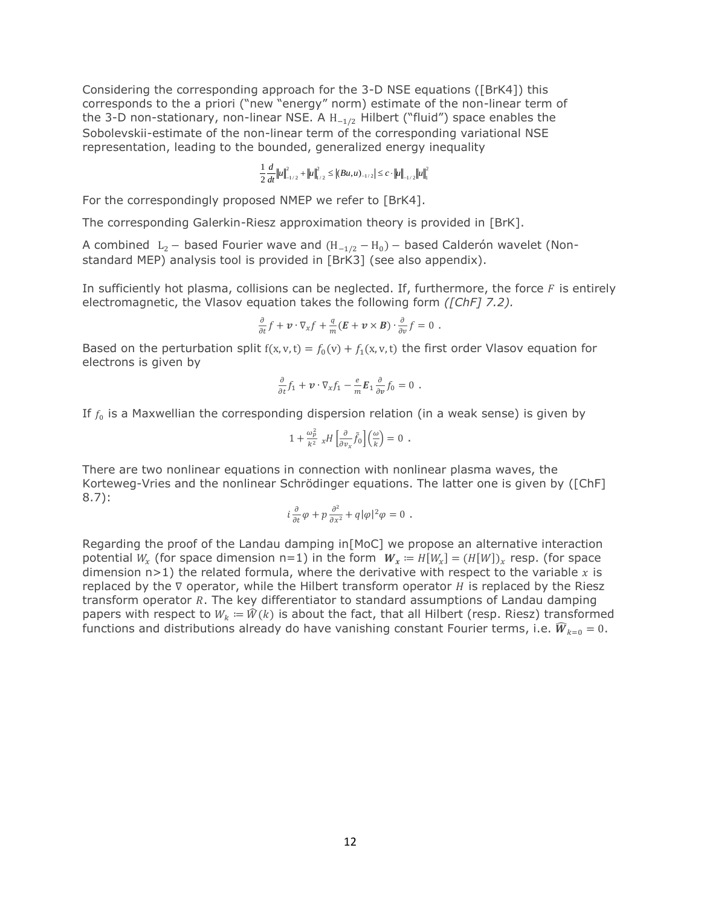Considering the corresponding approach for the 3-D NSE equations ([BrK4]) this corresponds to the a priori ("new "energy" norm) estimate of the non-linear term of the 3-D non-stationary, non-linear NSE. A  $H_{-1/2}$  Hilbert ("fluid") space enables the Sobolevskii-estimate of the non-linear term of the corresponding variational NSE representation, leading to the bounded, generalized energy inequality

$$
\frac{1}{2}\frac{d}{dt}\Big\|u\Big\|_{-1/2}^2+\Big\|u\Big\|_{1/2}^2\leq \Big|\big(Bu,u\big)_{-1/2}\Big|\leq c\cdot\Big\|u\Big\|_{-1/2}\Big\|u\Big\|_{1}^2
$$

For the correspondingly proposed NMEP we refer to [BrK4].

The corresponding Galerkin-Riesz approximation theory is provided in [BrK].

A combined  $L_2$  – based Fourier wave and  $(H_{-1/2} - H_0)$  – based Calderón wavelet (Nonstandard MEP) analysis tool is provided in [BrK3] (see also appendix).

In sufficiently hot plasma, collisions can be neglected. If, furthermore, the force  $F$  is entirely electromagnetic, the Vlasov equation takes the following form *([ChF] 7.2).*

$$
\frac{\partial}{\partial t}f + \boldsymbol{v} \cdot \nabla_{\boldsymbol{x}}f + \frac{q}{m}(\boldsymbol{E} + \boldsymbol{v} \times \boldsymbol{B}) \cdot \frac{\partial}{\partial v}f = 0.
$$

Based on the perturbation split  $f(x, v, t) = f_0(v) + f_1(x, v, t)$  the first order Vlasov equation for electrons is given by

$$
\frac{\partial}{\partial t} f_1 + \boldsymbol{v} \cdot \nabla_x f_1 - \frac{e}{m} \boldsymbol{E}_1 \frac{\partial}{\partial v} f_0 = 0.
$$

If  $f_0$  is a Maxwellian the corresponding dispersion relation (in a weak sense) is given by

$$
1 + \frac{\omega_p^2}{k^2} xH \left[ \frac{\partial}{\partial v_x} \tilde{f}_0 \right] \left( \frac{\omega}{k} \right) = 0.
$$

There are two nonlinear equations in connection with nonlinear plasma waves, the Korteweg-Vries and the nonlinear Schrödinger equations. The latter one is given by ([ChF] 8.7):

$$
i\frac{\partial}{\partial t}\varphi+p\frac{\partial^2}{\partial x^2}+q|\varphi|^2\varphi=0\ .
$$

Regarding the proof of the Landau damping in[MoC] we propose an alternative interaction potential  $W_x$  (for space dimension n=1) in the form  $W_x := H[W_x] = (H[W])_x$  resp. (for space dimension n>1) the related formula, where the derivative with respect to the variable  $x$  is replaced by the  $\nabla$  operator, while the Hilbert transform operator  $H$  is replaced by the Riesz transform operator *. The key differentiator to standard assumptions of Landau damping* papers with respect to  $W_k = \hat{W}(k)$  is about the fact, that all Hilbert (resp. Riesz) transformed functions and distributions already do have vanishing constant Fourier terms, i.e.  $\hat{W}_{k=0} = 0$ .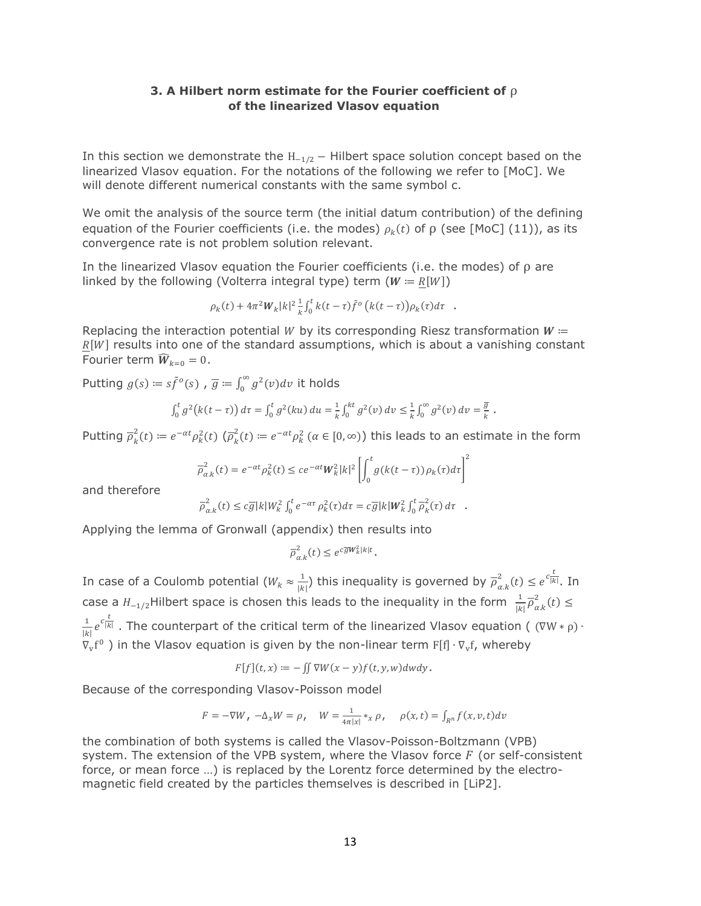## **3. A Hilbert norm estimate for the Fourier coefficient of** ρ **of the linearized Vlasov equation**

In this section we demonstrate the  $H_{-1/2}$  – Hilbert space solution concept based on the linearized Vlasov equation. For the notations of the following we refer to [MoC]. We will denote different numerical constants with the same symbol c.

We omit the analysis of the source term (the initial datum contribution) of the defining equation of the Fourier coefficients (i.e. the modes)  $\rho_k(t)$  of  $\rho$  (see [MoC] (11)), as its convergence rate is not problem solution relevant.

In the linearized Vlasov equation the Fourier coefficients (i.e. the modes) of  $\rho$  are linked by the following (Volterra integral type) term ( $W = R[W]$ )

$$
\rho_k(t) + 4\pi^2 W_k |k|^2 \frac{1}{k} \int_0^t k(t-\tau) \tilde{f}^o(k(t-\tau)) \rho_k(\tau) d\tau.
$$

Replacing the interaction potential W by its corresponding Riesz transformation  $W =$  $R[W]$  results into one of the standard assumptions, which is about a vanishing constant Fourier term  $\widehat{W}_{k=0} = 0$ .

Putting  $g(s) \coloneqq s \tilde{f}^o(s)$  ,  $\overline{g} \coloneqq \int_0^\infty g^2(v) dv$  it holds

$$
\int_0^t g^2(k(t-\tau))\,d\tau = \int_0^t g^2(ku)\,du = \frac{1}{k}\int_0^{kt} g^2(v)\,dv \leq \frac{1}{k}\int_0^{\infty} g^2(v)\,dv = \frac{\overline{g}}{k}.
$$

Putting  $\overline{\rho}_k^2(t) \coloneqq e^{-\alpha t} \rho_k^2(t)$   $(\overline{\rho}_k^2(t) \coloneqq e^{-\alpha t} \rho_k^2$   $(\alpha \in [0, \infty))$  this leads to an estimate in the form

$$
\overline{\rho}_{\alpha,k}^2(t) = e^{-\alpha t} \rho_k^2(t) \le c e^{-\alpha t} W_k^2 |k|^2 \left[ \int_0^t g(k(t-\tau)) \rho_k(\tau) d\tau \right]
$$

2

and therefore

$$
\overline{\rho}_{\alpha,k}^2(t) \leq c \overline{g}|k|W_k^2 \int_0^t e^{-\alpha \tau} \rho_k^2(\tau) d\tau = c \overline{g}|k|W_k^2 \int_0^t \overline{\rho}_k^2(\tau) d\tau.
$$

Applying the lemma of Gronwall (appendix) then results into

$$
\overline{\rho}^2_{\alpha,k}(t)\leq e^{c\overline{g}W_k^2|k|t}.
$$

In case of a Coulomb potential ( $W_k \approx \frac{1}{\nu}$  $\frac{1}{|k|}$ ) this inequality is governed by  $\overline{\rho}_{\alpha.k}^2(t) \leq e^{c\frac{t}{|k|}}$ . In case a  $H_{-1/2}$ Hilbert space is chosen this leads to the inequality in the form  $\frac{1}{|k|}\overline{\rho}_{\alpha.k}^2(t) \le$ 

1  $\frac{1}{|k|}e^{c\frac{t}{|k|}}$ . The counterpart of the critical term of the linearized Vlasov equation (  $(\nabla W * \rho)$  ·  $\nabla_{\mathbf{v}}\mathbf{f}^0$  ) in the Vlasov equation is given by the non-linear term F[f]  $\cdot\nabla_{\mathbf{v}}\mathbf{f}$ , whereby

$$
F[f](t,x) := - \iint \nabla W(x-y)f(t,y,w)dwdy.
$$

Because of the corresponding Vlasov-Poisson model

$$
F = -\nabla W, \ -\Delta_x W = \rho, \quad W = \frac{1}{4\pi|x|} *_{x} \rho, \quad \rho(x, t) = \int_{R^n} f(x, v, t) dv
$$

the combination of both systems is called the Vlasov-Poisson-Boltzmann (VPB) system. The extension of the VPB system, where the Vlasov force  $F$  (or self-consistent force, or mean force …) is replaced by the Lorentz force determined by the electromagnetic field created by the particles themselves is described in [LiP2].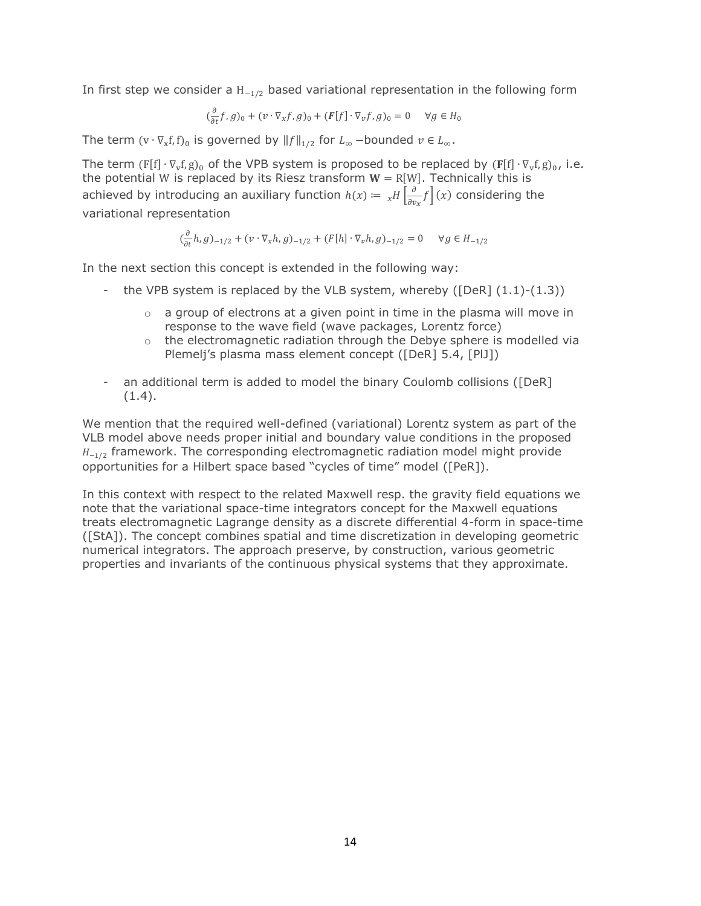In first step we consider a  $H_{-1/2}$  based variational representation in the following form

$$
(\frac{\partial}{\partial t}f,g)_0 + (v \cdot \nabla_x f,g)_0 + (F[f] \cdot \nabla_v f,g)_0 = 0 \quad \forall g \in H_0
$$

The term  $(v \cdot \nabla_x f, f)_0$  is governed by  $||f||_{1/2}$  for  $L_{\infty}$  –bounded  $v \in L_{\infty}$ .

The term  $(F[f] \cdot \nabla_v f, g)_0$  of the VPB system is proposed to be replaced by  $(F[f] \cdot \nabla_v f, g)_0$ , i.e. the potential W is replaced by its Riesz transform  $W = R[W]$ . Technically this is achieved by introducing an auxiliary function  $h(x) \coloneqq \frac{1}{x} \int_{\partial x}^{\partial}$  $\frac{\partial}{\partial v_x} f(x)$  considering the variational representation

$$
(\frac{\partial}{\partial t}h, g)_{-1/2} + (v \cdot \nabla_x h, g)_{-1/2} + (F[h] \cdot \nabla_v h, g)_{-1/2} = 0 \quad \forall g \in H_{-1/2}
$$

In the next section this concept is extended in the following way:

- the VPB system is replaced by the VLB system, whereby ( $[DeR] (1.1)-(1.3)$ )
	- $\circ$  a group of electrons at a given point in time in the plasma will move in response to the wave field (wave packages, Lorentz force)
	- $\circ$  the electromagnetic radiation through the Debye sphere is modelled via Plemelj's plasma mass element concept ([DeR] 5.4, [PlJ])
- an additional term is added to model the binary Coulomb collisions ([DeR]  $(1.4).$

We mention that the required well-defined (variational) Lorentz system as part of the VLB model above needs proper initial and boundary value conditions in the proposed  $H_{-1/2}$  framework. The corresponding electromagnetic radiation model might provide opportunities for a Hilbert space based "cycles of time" model ([PeR]).

In this context with respect to the related Maxwell resp. the gravity field equations we note that the variational space-time integrators concept for the Maxwell equations treats electromagnetic Lagrange density as a discrete differential 4-form in space-time ([StA]). The concept combines spatial and time discretization in developing geometric numerical integrators. The approach preserve, by construction, various geometric properties and invariants of the continuous physical systems that they approximate.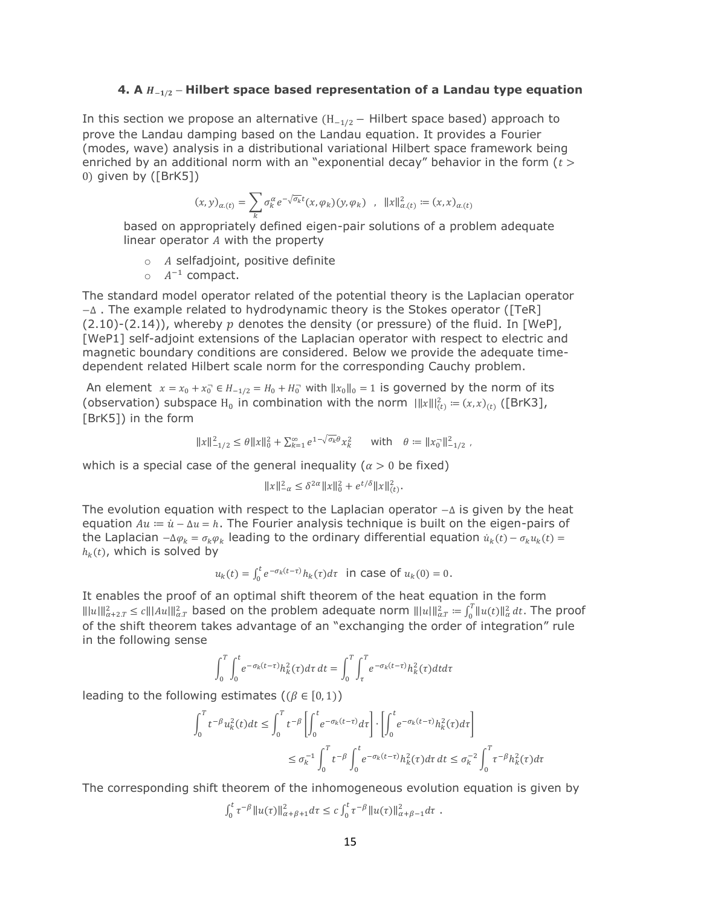## **4.** A  $H_{-1/2}$  − Hilbert space based representation of a Landau type equation

In this section we propose an alternative  $(H_{-1/2} - Hilbert)$  space based) approach to prove the Landau damping based on the Landau equation. It provides a Fourier (modes, wave) analysis in a distributional variational Hilbert space framework being enriched by an additional norm with an "exponential decay" behavior in the form  $(t >$ 0) given by ([BrK5])

$$
(x,y)_{\alpha.(t)} = \sum_{k} \sigma_k^{\alpha} e^{-\sqrt{\sigma_k}t} (x,\varphi_k)(y,\varphi_k) \quad , \quad ||x||_{\alpha.(t)}^2 := (x,x)_{\alpha.(t)}
$$

based on appropriately defined eigen-pair solutions of a problem adequate linear operator  $A$  with the property

 $\circ$  A selfadjoint, positive definite

 $\circ$   $A^{-1}$  compact.

The standard model operator related of the potential theory is the Laplacian operator −∆ . The example related to hydrodynamic theory is the Stokes operator ([TeR]  $(2.10)-(2.14)$ , whereby p denotes the density (or pressure) of the fluid. In [WeP], [WeP1] self-adjoint extensions of the Laplacian operator with respect to electric and magnetic boundary conditions are considered. Below we provide the adequate timedependent related Hilbert scale norm for the corresponding Cauchy problem.

An element  $x = x_0 + x_0^- \in H_{-1/2} = H_0 + H_0^-$  with  $||x_0||_0 = 1$  is governed by the norm of its (observation) subspace H<sub>0</sub> in combination with the norm  $\|x\|_{(t)}^2 = (x, x)_{(t)}$  ([BrK3], [BrK5]) in the form

$$
||x||_{-1/2}^2 \le \theta ||x||_0^2 + \sum_{k=1}^{\infty} e^{1-\sqrt{\sigma_k} \theta} x_k^2 \quad \text{with} \quad \theta := ||x_0||_{-1/2}^2,
$$

which is a special case of the general inequality ( $\alpha > 0$  be fixed)

$$
||x||_{-\alpha}^2 \le \delta^{2\alpha} ||x||_0^2 + e^{t/\delta} ||x||_{(t)}^2.
$$

The evolution equation with respect to the Laplacian operator −∆ is given by the heat equation  $Au = \dot{u} - \Delta u = h$ . The Fourier analysis technique is built on the eigen-pairs of the Laplacian  $-\Delta \varphi_k = \sigma_k \varphi_k$  leading to the ordinary differential equation  $\dot{u}_k(t) - \sigma_k u_k(t) =$  $h_k(t)$ , which is solved by

$$
u_k(t) = \int_0^t e^{-\sigma_k(t-\tau)} h_k(\tau) d\tau
$$
 in case of  $u_k(0) = 0$ .

It enables the proof of an optimal shift theorem of the heat equation in the form  $|||u|||_{\alpha+2,T}^2 \le c|||Au|||_{\alpha,T}^2$  based on the problem adequate norm  $|||u|||_{\alpha,T}^2 := \int_0^T ||u(t)||_{\alpha,T}^2$  $\int_0^t \|u(t)\|_{\alpha}^2 dt$ . The proof of the shift theorem takes advantage of an "exchanging the order of integration" rule in the following sense

$$
\int_0^T \int_0^t e^{-\sigma_k(t-\tau)} h_k^2(\tau) d\tau dt = \int_0^T \int_\tau^T e^{-\sigma_k(t-\tau)} h_k^2(\tau) dt d\tau
$$

leading to the following estimates  $((\beta \in [0,1)))$ 

$$
\int_{0}^{T} t^{-\beta} u_{k}^{2}(t) dt \leq \int_{0}^{T} t^{-\beta} \left[ \int_{0}^{t} e^{-\sigma_{k}(t-\tau)} d\tau \right] \cdot \left[ \int_{0}^{t} e^{-\sigma_{k}(t-\tau)} h_{k}^{2}(\tau) d\tau \right]
$$
  

$$
\leq \sigma_{k}^{-1} \int_{0}^{T} t^{-\beta} \int_{0}^{t} e^{-\sigma_{k}(t-\tau)} h_{k}^{2}(\tau) d\tau dt \leq \sigma_{k}^{-2} \int_{0}^{T} \tau^{-\beta} h_{k}^{2}(\tau) d\tau
$$

The corresponding shift theorem of the inhomogeneous evolution equation is given by

$$
\int_0^t \tau^{-\beta} \|u(\tau)\|_{\alpha+\beta+1}^2 d\tau \leq c \int_0^t \tau^{-\beta} \|u(\tau)\|_{\alpha+\beta-1}^2 d\tau \ .
$$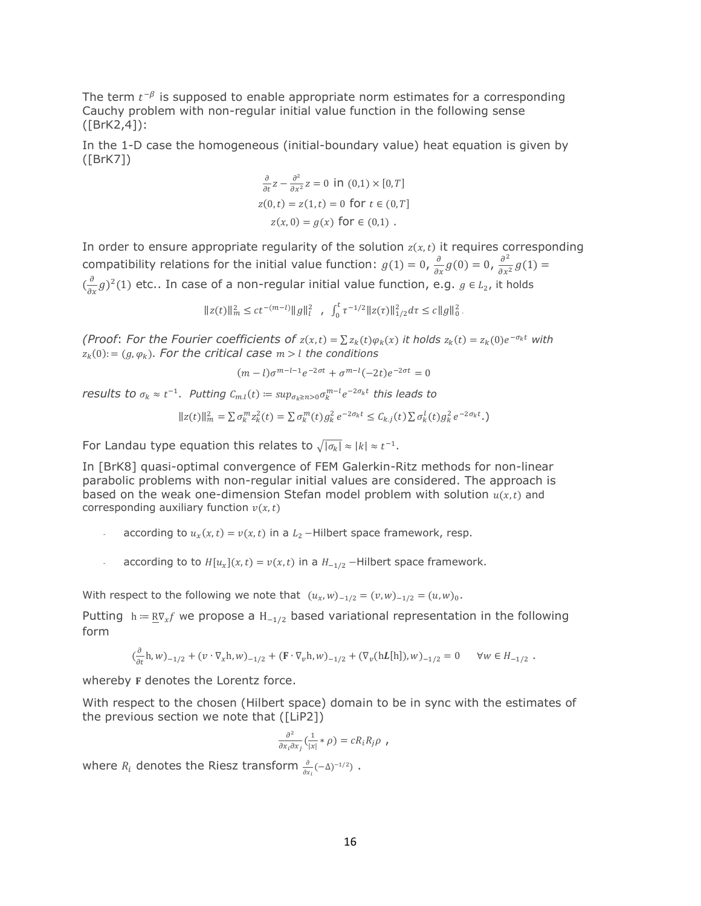The term  $t^{-\beta}$  is supposed to enable appropriate norm estimates for a corresponding Cauchy problem with non-regular initial value function in the following sense ([BrK2,4]):

In the 1-D case the homogeneous (initial-boundary value) heat equation is given by ([BrK7])

$$
\frac{\partial}{\partial t}z - \frac{\partial^2}{\partial x^2}z = 0 \text{ in } (0,1) \times [0, T]
$$
  
 
$$
z(0,t) = z(1,t) = 0 \text{ for } t \in (0, T]
$$
  
 
$$
z(x, 0) = g(x) \text{ for } \in (0,1).
$$

In order to ensure appropriate regularity of the solution  $z(x,t)$  it requires corresponding compatibility relations for the initial value function:  $g(1) = 0$ ,  $\frac{\partial}{\partial x} g(0) = 0$ ,  $\frac{\partial^2}{\partial x^2}$  $\frac{\partial}{\partial x^2} g(1) =$  $(\frac{\partial}{\partial x}g)^2(1)$  etc.. In case of a non-regular initial value function, e.g.  $g \in L_2$ , it holds

 $\label{||z(t)||_m^2 le t^{- (m-l)} ||g||_l^2 , , |int_0^t \tau^{-1/2} ||z(\tau)||_{1/2}^2} \, d\tau \leq c \|g\|_0^2 \,.$ 

*(Proof: For the Fourier coefficients of*  $z(x,t) = \sum z_k(t) \varphi_k(x)$  *it holds*  $z_k(t) = z_k(0) e^{-\sigma_k t}$  with  $z_k(0) := (g,\varphi_k)$ . For the critical case  $m > l$  the conditions

$$
(m-l)\sigma^{m-l-1}e^{-2\sigma t} + \sigma^{m-l}(-2t)e^{-2\sigma t} = 0
$$

*results to*  $\sigma_k \approx t^{-1}$ *. Putting*  $C_{m,l}(t) \coloneqq \sup_{\sigma_k \ge n > 0} \sigma_k^{m-l} e^{-2\sigma_k t}$  this leads to

$$
||z(t)||_{m}^{2} = \sum \sigma_{k}^{m} z_{k}^{2}(t) = \sum \sigma_{k}^{m}(t) g_{k}^{2} e^{-2\sigma_{k}t} \leq C_{k,j}(t) \sum \sigma_{k}^{l}(t) g_{k}^{2} e^{-2\sigma_{k}t}.
$$

For Landau type equation this relates to  $\sqrt{|\sigma_k|} \approx |k| \approx t^{-1}$ .

In [BrK8] quasi-optimal convergence of FEM Galerkin-Ritz methods for non-linear parabolic problems with non-regular initial values are considered. The approach is based on the weak one-dimension Stefan model problem with solution  $u(x,t)$  and corresponding auxiliary function  $v(x,t)$ 

- according to  $u_x(x,t) = v(x,t)$  in a  $L_2$  –Hilbert space framework, resp.
- according to to  $H[u_x](x,t) = v(x,t)$  in a  $H_{-1/2}$  Hilbert space framework.

With respect to the following we note that  $(u_x, w)_{-1/2} = (v, w)_{-1/2} = (u, w)_0$ .

Putting h =  $R\nabla_x f$  we propose a H<sub>-1/2</sub> based variational representation in the following form

$$
(\frac{\partial}{\partial t} \mathbf{h}, w)_{-1/2} + (v \cdot \nabla_x \mathbf{h}, w)_{-1/2} + (\mathbf{F} \cdot \nabla_v \mathbf{h}, w)_{-1/2} + (\nabla_v (\mathbf{h} \mathbf{L}[\mathbf{h}]), w)_{-1/2} = 0 \quad \forall w \in H_{-1/2} .
$$

whereby **F** denotes the Lorentz force.

With respect to the chosen (Hilbert space) domain to be in sync with the estimates of the previous section we note that ([LiP2])

$$
\frac{\partial^2}{\partial x_i \partial x_j} \left( \frac{1}{|x|} * \rho \right) = c R_i R_j \rho ,
$$

where  $R_i$  denotes the Riesz transform  $\frac{\partial}{\partial x_i}(-\Delta)^{-1/2}$ ).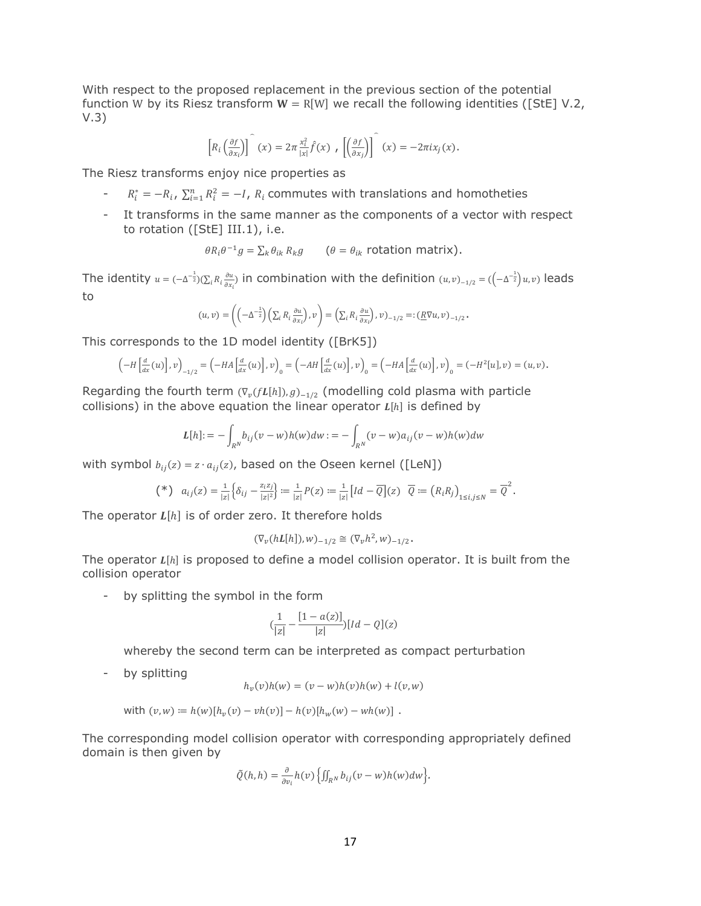With respect to the proposed replacement in the previous section of the potential function W by its Riesz transform  $W = R[W]$  we recall the following identities ([StE] V.2, V.3)

$$
\left[R_i\left(\frac{\partial f}{\partial x_i}\right)\right](x) = 2\pi \frac{x_i^2}{|x|} \hat{f}(x) , \left[\left(\frac{\partial f}{\partial x_j}\right)\right](x) = -2\pi i x_j(x).
$$

The Riesz transforms enjoy nice properties as

- $R_i^* = -R_i$ ,  $\sum_{i=1}^n R_i^2 = -I$ ,  $R_i$  commutes with translations and homotheties
- It transforms in the same manner as the components of a vector with respect to rotation ([StE] III.1), i.e.

$$
\theta R_i \theta^{-1} g = \sum_k \theta_{ik} R_k g \qquad (\theta = \theta_{ik} \text{ rotation matrix}).
$$

The identity  $u = (-\Delta^{-\frac{1}{2}})(\sum_i R_i \frac{\partial u}{\partial x_i})$  $_{i}R_{i}\frac{\partial u}{\partial x_{i}}$ ) in combination with the definition  $(u,v)_{-1/2} = ((-\Delta^{-\frac{1}{2}})u,v)$  leads to

$$
(u,v) = \left( \left( -\Delta^{-\frac{1}{2}} \right) \left( \sum_i R_i \frac{\partial u}{\partial x_i} \right), v \right) = \left( \sum_i R_i \frac{\partial u}{\partial x_i} \right), v)_{-1/2} =: \left( \underline{R} \nabla u, v \right)_{-1/2}.
$$

This corresponds to the 1D model identity ([BrK5])

$$
\left(-H\left[\frac{d}{dx}(u)\right],v\right)_{-1/2}=\left(-HA\left[\frac{d}{dx}(u)\right],v\right)_0=\left(-AH\left[\frac{d}{dx}(u)\right],v\right)_0=\left(-HA\left[\frac{d}{dx}(u)\right],v\right)_0=(-H^2[u],v)=(u,v).
$$

Regarding the fourth term  $(\nabla_{\nu}(fL[h]), g)_{-1/2}$  (modelling cold plasma with particle collisions) in the above equation the linear operator  $L[h]$  is defined by

$$
L[h] := -\int_{R^N} b_{ij}(v - w)h(w)dw := -\int_{R^N} (v - w)a_{ij}(v - w)h(w)dw
$$

with symbol  $b_{ij}(z) = z \cdot a_{ij}(z)$ , based on the Oseen kernel ([LeN])

$$
(\ast)\quad a_{ij}(z)=\tfrac{1}{|z|}\Big\{\delta_{ij}-\tfrac{z_iz_j}{|z|^2}\Big\}:=\tfrac{1}{|z|}P(z):=\tfrac{1}{|z|}\big[Id-\overline{Q}\big](z)\quad \overline{Q}:=\big(R_iR_j\big)_{1\le i,j\le N}=\overline{Q}^2.
$$

The operator  $L[h]$  is of order zero. It therefore holds

$$
(\nabla_v(hL[h]), w)_{-1/2} \cong (\nabla_v h^2, w)_{-1/2}.
$$

The operator  $L[h]$  is proposed to define a model collision operator. It is built from the collision operator

- by splitting the symbol in the form

$$
(\frac{1}{|z|} - \frac{[1 - a(z)]}{|z|})[ld - Q](z)
$$

whereby the second term can be interpreted as compact perturbation

- by splitting

$$
h_v(v)h(w) = (v - w)h(v)h(w) + l(v, w)
$$

with 
$$
(v, w) := h(w)[h_v(v) - vh(v)] - h(v)[h_w(w) - wh(w)].
$$

The corresponding model collision operator with corresponding appropriately defined domain is then given by

$$
\tilde{Q}(h,h)=\frac{\partial}{\partial v_i}h(v)\left\{\iint_{R^N}b_{ij}(v-w)h(w)dw\right\}.
$$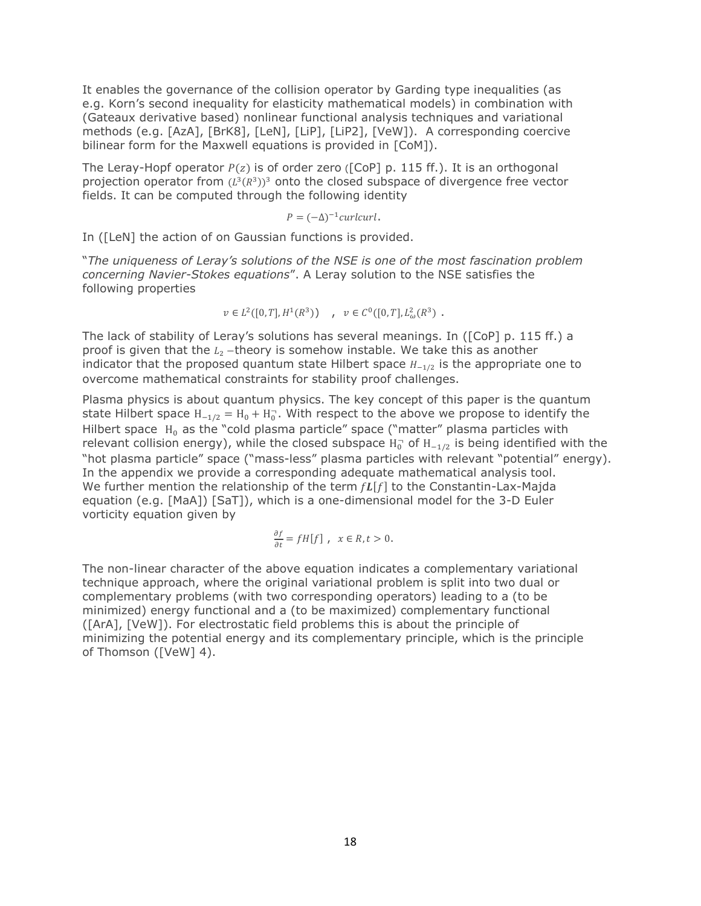It enables the governance of the collision operator by Garding type inequalities (as e.g. Korn's second inequality for elasticity mathematical models) in combination with (Gateaux derivative based) nonlinear functional analysis techniques and variational methods (e.g. [AzA], [BrK8], [LeN], [LiP], [LiP2], [VeW]). A corresponding coercive bilinear form for the Maxwell equations is provided in [CoM]).

The Leray-Hopf operator  $P(z)$  is of order zero ([CoP] p. 115 ff.). It is an orthogonal projection operator from  $(L^3(R^3))^3$  onto the closed subspace of divergence free vector fields. It can be computed through the following identity

 $P = (-\Delta)^{-1}$ curlcurl.

In ([LeN] the action of on Gaussian functions is provided.

"*The uniqueness of Leray's solutions of the NSE is one of the most fascination problem concerning Navier-Stokes equations*". A Leray solution to the NSE satisfies the following properties

 $v \in L^2([0,T],H^1(\mathbb{R}^3))$ ,  $v \in C^0([0,T],L^2_{\omega}(\mathbb{R}^3))$ .

The lack of stability of Leray's solutions has several meanings. In ([CoP] p. 115 ff.) a proof is given that the  $L_2$  –theory is somehow instable. We take this as another indicator that the proposed quantum state Hilbert space  $H_{-1/2}$  is the appropriate one to overcome mathematical constraints for stability proof challenges.

Plasma physics is about quantum physics. The key concept of this paper is the quantum state Hilbert space  $H_{-1/2} = H_0 + H_0$ . With respect to the above we propose to identify the Hilbert space  $H_0$  as the "cold plasma particle" space ("matter" plasma particles with relevant collision energy), while the closed subspace  $H_0^-$  of  $H_{-1/2}$  is being identified with the "hot plasma particle" space ("mass-less" plasma particles with relevant "potential" energy). In the appendix we provide a corresponding adequate mathematical analysis tool. We further mention the relationship of the term  $fL[f]$  to the Constantin-Lax-Majda equation (e.g. [MaA]) [SaT]), which is a one-dimensional model for the 3-D Euler vorticity equation given by

$$
\frac{\partial f}{\partial t}=fH[f]\ ,\ \ x\in R, t>0.
$$

The non-linear character of the above equation indicates a complementary variational technique approach, where the original variational problem is split into two dual or complementary problems (with two corresponding operators) leading to a (to be minimized) energy functional and a (to be maximized) complementary functional ([ArA], [VeW]). For electrostatic field problems this is about the principle of minimizing the potential energy and its complementary principle, which is the principle of Thomson ([VeW] 4).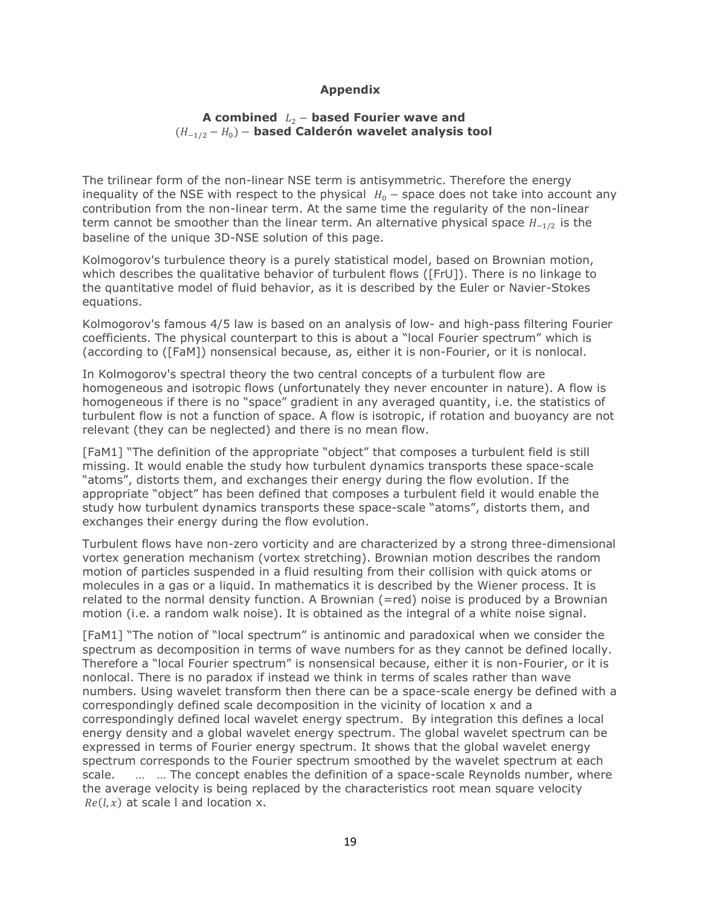# **Appendix**

## **A combined** <sup>2</sup> − **based Fourier wave and**  (−1/2 − 0)− **based Calderón wavelet analysis tool**

The trilinear form of the non-linear NSE term is antisymmetric. Therefore the energy inequality of the NSE with respect to the physical  $H_0$  – space does not take into account any contribution from the non-linear term. At the same time the regularity of the non-linear term cannot be smoother than the linear term. An alternative physical space  $H_{-1/2}$  is the baseline of the unique 3D-NSE solution of this page.

Kolmogorov's turbulence theory is a purely statistical model, based on Brownian motion, which describes the qualitative behavior of turbulent flows ([FrU]). There is no linkage to the quantitative model of fluid behavior, as it is described by the Euler or Navier-Stokes equations.

Kolmogorov's famous 4/5 law is based on an analysis of low- and high-pass filtering Fourier coefficients. The physical counterpart to this is about a "local Fourier spectrum" which is (according to ([FaM]) nonsensical because, as, either it is non-Fourier, or it is nonlocal.

In Kolmogorov's spectral theory the two central concepts of a turbulent flow are homogeneous and isotropic flows (unfortunately they never encounter in nature). A flow is homogeneous if there is no "space" gradient in any averaged quantity, i.e. the statistics of turbulent flow is not a function of space. A flow is isotropic, if rotation and buoyancy are not relevant (they can be neglected) and there is no mean flow.

[FaM1] "The definition of the appropriate "object" that composes a turbulent field is still missing. It would enable the study how turbulent dynamics transports these space-scale "atoms", distorts them, and exchanges their energy during the flow evolution. If the appropriate "object" has been defined that composes a turbulent field it would enable the study how turbulent dynamics transports these space-scale "atoms", distorts them, and exchanges their energy during the flow evolution.

Turbulent flows have non-zero vorticity and are characterized by a strong three-dimensional vortex generation mechanism (vortex stretching). Brownian motion describes the random motion of particles suspended in a fluid resulting from their collision with quick atoms or molecules in a gas or a liquid. In mathematics it is described by the Wiener process. It is related to the normal density function. A Brownian (=red) noise is produced by a Brownian motion (i.e. a random walk noise). It is obtained as the integral of a white noise signal.

[FaM1] "The notion of "local spectrum" is antinomic and paradoxical when we consider the spectrum as decomposition in terms of wave numbers for as they cannot be defined locally. Therefore a "local Fourier spectrum" is nonsensical because, either it is non-Fourier, or it is nonlocal. There is no paradox if instead we think in terms of scales rather than wave numbers. Using wavelet transform then there can be a space-scale energy be defined with a correspondingly defined scale decomposition in the vicinity of location x and a correspondingly defined local wavelet energy spectrum. By integration this defines a local energy density and a global wavelet energy spectrum. The global wavelet spectrum can be expressed in terms of Fourier energy spectrum. It shows that the global wavelet energy spectrum corresponds to the Fourier spectrum smoothed by the wavelet spectrum at each scale. … … The concept enables the definition of a space-scale Reynolds number, where the average velocity is being replaced by the characteristics root mean square velocity  $Re(l, x)$  at scale I and location x.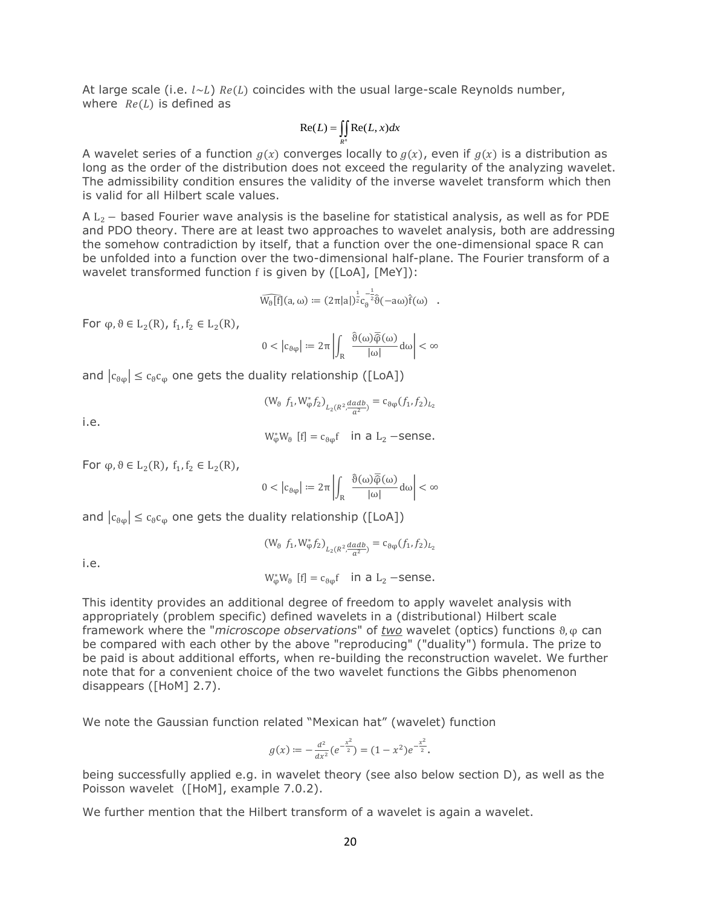At large scale (i.e.  $l \sim L$ )  $Re(L)$  coincides with the usual large-scale Reynolds number, where  $Re(L)$  is defined as

$$
\operatorname{Re}(L) = \iint\limits_{R^n} \operatorname{Re}(L, x) dx
$$

A wavelet series of a function  $g(x)$  converges locally to  $g(x)$ , even if  $g(x)$  is a distribution as long as the order of the distribution does not exceed the regularity of the analyzing wavelet. The admissibility condition ensures the validity of the inverse wavelet transform which then is valid for all Hilbert scale values.

A L<sup>2</sup> − based Fourier wave analysis is the baseline for statistical analysis, as well as for PDE and PDO theory. There are at least two approaches to wavelet analysis, both are addressing the somehow contradiction by itself, that a function over the one-dimensional space R can be unfolded into a function over the two-dimensional half-plane. The Fourier transform of a wavelet transformed function f is given by ([LoA], [MeY]):

$$
\widehat{W_\vartheta[f]}(a,\omega) \coloneqq (2\pi |a|)^{\frac{1}{2}} c_\vartheta^{-\frac{1}{2}} \hat{\vartheta}(-a\omega) \hat{f}(\omega) \quad .
$$

For  $\varphi, \vartheta \in L_2(R)$ ,  $f_1, f_2 \in L_2(R)$ ,

$$
0<\left|c_{\theta\phi}\right| \coloneqq 2\pi\left|\int_{R}\left|\frac{\hat{\vartheta}(\omega)\overline{\hat{\phi}}(\omega)}{|\omega|}d\omega\right|<\infty\right|
$$

and  $|c_{\theta\varphi}| \leq c_{\theta}c_{\varphi}$  one gets the duality relationship ([LoA])

$$
(W_{\vartheta} f_1, W_{\varphi}^* f_2)_{L_2(R^2, \frac{dadb}{a^2})} = c_{\vartheta\varphi}(f_1, f_2)_{L_2}
$$

i.e.

$$
W_{\varphi}^* W_{\vartheta} [f] = c_{\vartheta \varphi} f \quad \text{in a } L_2 \text{ -sense.}
$$

For  $\varphi, \vartheta \in L_2(R)$ ,  $f_1, f_2 \in L_2(R)$ ,

$$
0 < |c_{\theta\phi}| := 2\pi \left| \int_R \frac{\vartheta(\omega)\overline{\varphi}(\omega)}{|\omega|} d\omega \right| < \infty
$$

and  $|c_{\theta\varphi}| \leq c_{\theta}c_{\varphi}$  one gets the duality relationship ([LoA])

$$
(\mathsf{W}_{\vartheta}~ f_{1}, \mathsf{W}_{\varphi}^{*}f_{2})_{L_{2}(R^{2}, \frac{dadb}{a^{2}})} = \mathsf{c}_{\vartheta\phi}(f_{1}, f_{2})_{L_{2}}
$$

i.e.

$$
W_{\varphi}^*W_{\vartheta}
$$
 [f] =  $c_{\vartheta\varphi}$ f in a L<sub>2</sub> –sense.

This identity provides an additional degree of freedom to apply wavelet analysis with appropriately (problem specific) defined wavelets in a (distributional) Hilbert scale framework where the "*microscope observations*" of *two* wavelet (optics) functions ϑ, φ can be compared with each other by the above "reproducing" ("duality") formula. The prize to be paid is about additional efforts, when re-building the reconstruction wavelet. We further note that for a convenient choice of the two wavelet functions the Gibbs phenomenon disappears ([HoM] 2.7).

We note the Gaussian function related "Mexican hat" (wavelet) function

$$
g(x) := -\frac{d^2}{dx^2} (e^{-\frac{x^2}{2}}) = (1 - x^2) e^{-\frac{x^2}{2}}.
$$

being successfully applied e.g. in wavelet theory (see also below section D), as well as the Poisson wavelet ([HoM], example 7.0.2).

We further mention that the Hilbert transform of a wavelet is again a wavelet.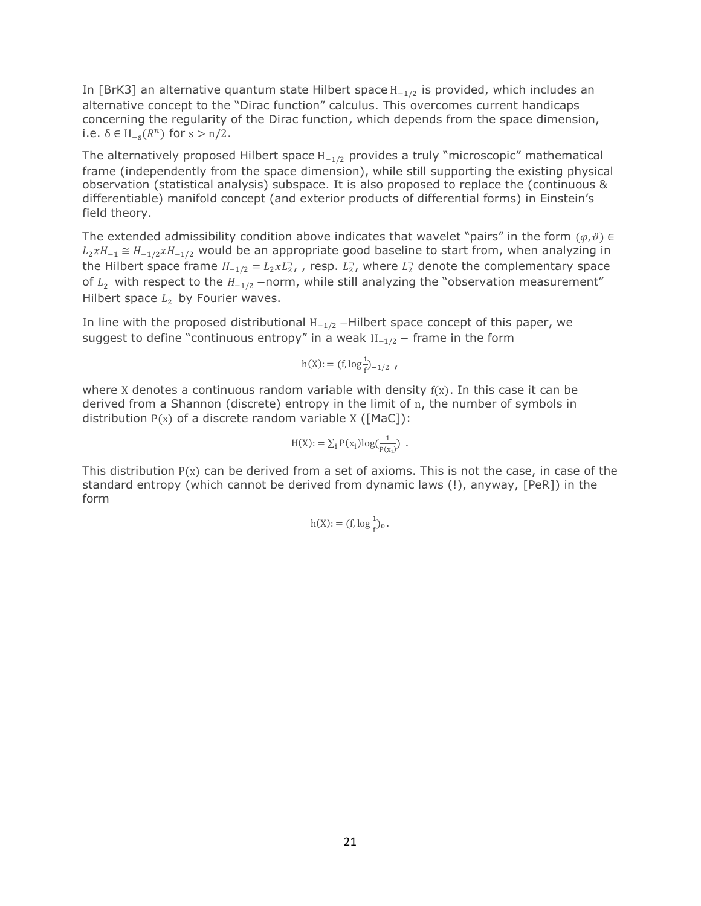In [BrK3] an alternative quantum state Hilbert space H<sub>−1/2</sub> is provided, which includes an alternative concept to the "Dirac function" calculus. This overcomes current handicaps concerning the regularity of the Dirac function, which depends from the space dimension, i.e.  $\delta \in H_{-s}(R^n)$  for  $s > n/2$ .

The alternatively proposed Hilbert space  $H_{-1/2}$  provides a truly "microscopic" mathematical frame (independently from the space dimension), while still supporting the existing physical observation (statistical analysis) subspace. It is also proposed to replace the (continuous & differentiable) manifold concept (and exterior products of differential forms) in Einstein's field theory.

The extended admissibility condition above indicates that wavelet "pairs" in the form  $(\varphi, \vartheta) \in$  $L_2xH_{-1} \cong H_{-1/2}xH_{-1/2}$  would be an appropriate good baseline to start from, when analyzing in the Hilbert space frame  $H_{-1/2} = L_2 x L_2^2$ , , resp.  $L_2^2$ , where  $L_2^2$  denote the complementary space of  $L_2$  with respect to the  $H_{-1/2}$  –norm, while still analyzing the "observation measurement" Hilbert space  $L_2$  by Fourier waves.

In line with the proposed distributional  $H_{-1/2}$  –Hilbert space concept of this paper, we suggest to define "continuous entropy" in a weak  $H_{-1/2}$  – frame in the form

$$
h(X) := (f, \log \frac{1}{f})_{-1/2}
$$

where X denotes a continuous random variable with density  $f(x)$ . In this case it can be derived from a Shannon (discrete) entropy in the limit of n, the number of symbols in distribution  $P(x)$  of a discrete random variable X ([MaC]):

$$
H(X) := \sum_i P(x_i) \log(\frac{1}{P(x_i)}) .
$$

This distribution  $P(x)$  can be derived from a set of axioms. This is not the case, in case of the standard entropy (which cannot be derived from dynamic laws (!), anyway, [PeR]) in the form

$$
h(X) := (f, \log \frac{1}{f})_0.
$$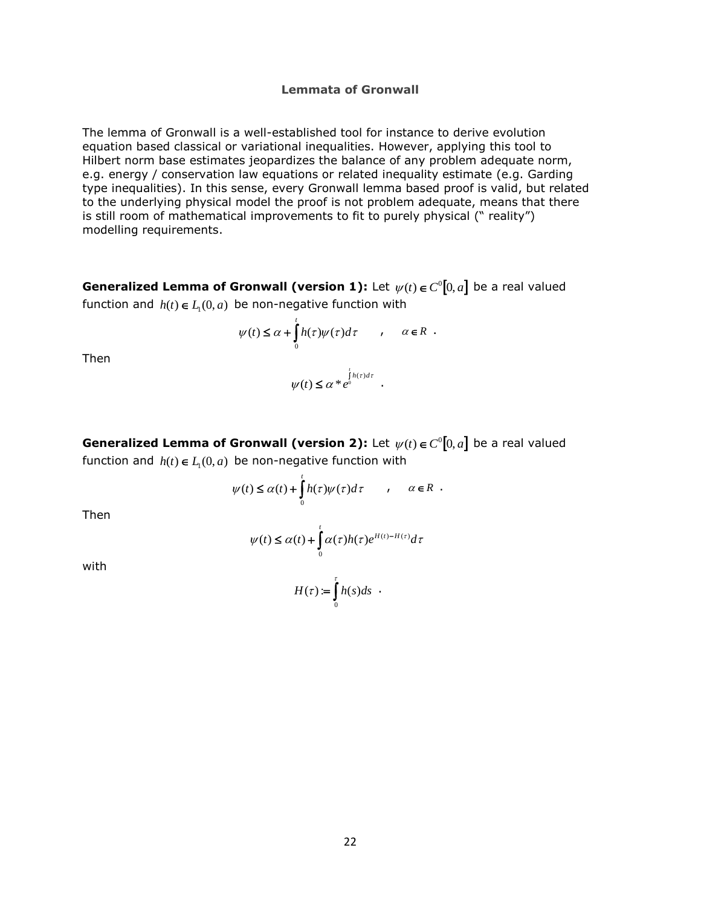#### **Lemmata of Gronwall**

The lemma of Gronwall is a well-established tool for instance to derive evolution equation based classical or variational inequalities. However, applying this tool to Hilbert norm base estimates jeopardizes the balance of any problem adequate norm, e.g. energy / conservation law equations or related inequality estimate (e.g. Garding type inequalities). In this sense, every Gronwall lemma based proof is valid, but related to the underlying physical model the proof is not problem adequate, means that there is still room of mathematical improvements to fit to purely physical (" reality") modelling requirements.

**Generalized Lemma of Gronwall (version 1):** Let  $\psi(t) \in C^0[0, a]$  be a real valued function and  $h(t) \in L_1(0, a)$  be non-negative function with

$$
\psi(t) \leq \alpha + \int\limits_0^t h(\tau) \psi(\tau) d\tau \qquad , \quad \alpha \in R \;\; .
$$

 $\leq \alpha * e^0$  $\psi(t) \leq \alpha * e^{\int_0^t h(\tau) d\tau}$ .

Then

**Generalized Lemma of Gronwall (version 2):** Let  $\psi(t) \in C^0[0, a]$  be a real valued function and  $h(t) \in L_1(0, a)$  be non-negative function with

$$
\psi(t) \leq \alpha(t) + \int\limits_0^t h(\tau) \psi(\tau) d\tau \qquad , \quad \alpha \in R \;\; .
$$

Then

 $\int_{0}^{t} \alpha(\tau)h(\tau)e^{H(t)-H(\tau)}dt$ 0  $\psi(t) \leq \alpha(t) + \int \alpha(\tau) h(\tau) e^{H(t)-H(\tau)} d\tau$ 

> =∫ً τ

0  $H(\tau) := \int h(s)ds$ .

with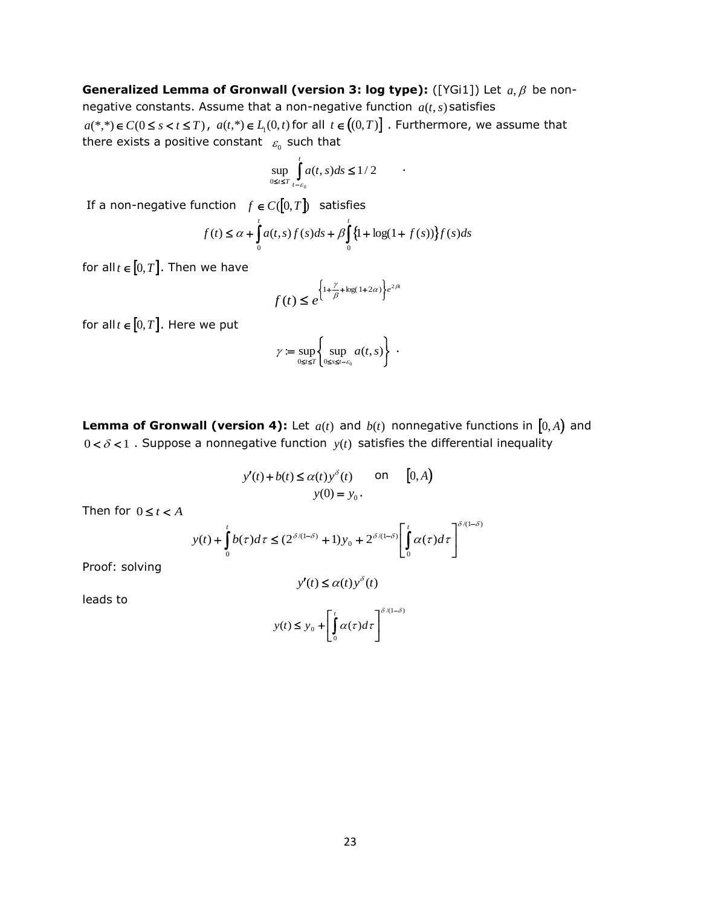**Generalized Lemma of Gronwall (version 3: log type):** ([YGi1]) Let  $a, \beta$  be nonnegative constants. Assume that a non-negative function *a*(*t*,*s*) satisfies  $a(*,*) \in C(0 \le s < t \le T)$ ,  $a(t,*) \in L_1(0,t)$  for all  $t \in ((0,T)]$ . Furthermore, we assume that there exists a positive constant  $\epsilon_{\text{o}}$  such that

$$
\sup_{0\leq t\leq T}\int_{t-\varepsilon_0}^t a(t,s)ds\leq 1/2
$$

If a non-negative function  $f \in C([0,T])$  satisfies

$$
f(t) \le \alpha + \int_{0}^{t} a(t,s)f(s)ds + \beta \int_{0}^{t} \{1 + \log(1 + f(s))\} f(s)ds
$$

for all  $t \in [0,T]$ . Then we have

$$
f(t) \leq e^{\left\{1 + \frac{\gamma}{\beta} + \log(1 + 2\alpha)\right\}e^{2\beta t}}
$$

for all  $t \in [0,T]$ . Here we put

$$
\gamma := \sup_{0 \leq t \leq T} \left\{ \sup_{0 \leq s \leq t - \varepsilon_0} a(t, s) \right\} .
$$

**Lemma of Gronwall (version 4):** Let  $a(t)$  and  $b(t)$  nonnegative functions in  $[0, A)$  and  $0 < \delta < 1$ . Suppose a nonnegative function  $y(t)$  satisfies the differential inequality

$$
y'(t) + b(t) \le \alpha(t) y^{\delta}(t) \quad \text{on} \quad [0, A)
$$

$$
y(0) = y_0.
$$

Then for  $0 \le t < A$ 

$$
y(t) + \int_0^t b(\tau)d\tau \le (2^{\delta/(1-\delta)} + 1)y_0 + 2^{\delta/(1-\delta)} \left[ \int_0^t \alpha(\tau)d\tau \right]^{\delta/(1-\delta)}
$$

Proof: solving

$$
y'(t) \le \alpha(t) y^{\delta}(t)
$$

leads to

$$
y(t) \le y_0 + \left[\int\limits_0^t \alpha(\tau)d\tau\right]^{\delta/(1-\delta)}
$$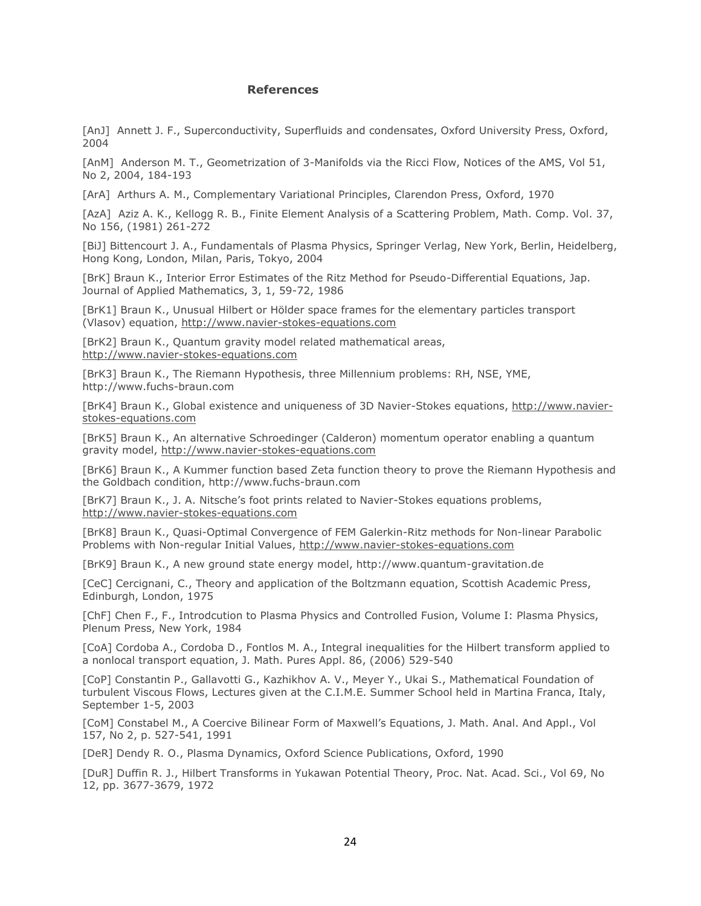#### **References**

[AnJ] Annett J. F., Superconductivity, Superfluids and condensates, Oxford University Press, Oxford, 2004

[AnM] Anderson M. T., Geometrization of 3-Manifolds via the Ricci Flow, Notices of the AMS, Vol 51, No 2, 2004, 184-193

[ArA] Arthurs A. M., Complementary Variational Principles, Clarendon Press, Oxford, 1970

[AzA] Aziz A. K., Kellogg R. B., Finite Element Analysis of a Scattering Problem, Math. Comp. Vol. 37, No 156, (1981) 261-272

[BiJ] Bittencourt J. A., Fundamentals of Plasma Physics, Springer Verlag, New York, Berlin, Heidelberg, Hong Kong, London, Milan, Paris, Tokyo, 2004

[BrK] Braun K., Interior Error Estimates of the Ritz Method for Pseudo-Differential Equations, Jap. Journal of Applied Mathematics, 3, 1, 59-72, 1986

[BrK1] Braun K., Unusual Hilbert or Hölder space frames for the elementary particles transport (Vlasov) equation, [http://www.navier-stokes-equations.com](http://www.navier-stokes-equations.com/)

[BrK2] Braun K., Quantum gravity model related mathematical areas, [http://www.navier-stokes-equations.com](http://www.navier-stokes-equations.com/)

[BrK3] Braun K., The Riemann Hypothesis, three Millennium problems: RH, NSE, YME, [http://www.fuchs-braun.com](http://www.fuchs-braun.com/)

[BrK4] Braun K., Global existence and uniqueness of 3D Navier-Stokes equations, [http://www.navier](http://www.navier-stokes-equations.com/)[stokes-equations.com](http://www.navier-stokes-equations.com/)

[BrK5] Braun K., An alternative Schroedinger (Calderon) momentum operator enabling a quantum gravity model, [http://www.navier-stokes-equations.com](http://www.navier-stokes-equations.com/)

[BrK6] Braun K., A Kummer function based Zeta function theory to prove the Riemann Hypothesis and the Goldbach condition, [http://www.fuchs-braun.com](http://www.fuchs-braun.com/)

[BrK7] Braun K., J. A. Nitsche's foot prints related to Navier-Stokes equations problems, [http://www.navier-stokes-equations.com](http://www.navier-stokes-equations.com/)

[BrK8] Braun K., Quasi-Optimal Convergence of FEM Galerkin-Ritz methods for Non-linear Parabolic Problems with Non-regular Initial Values, [http://www.navier-stokes-equations.com](http://www.navier-stokes-equations.com/)

[BrK9] Braun K., A new ground state energy model, http://www.quantum-gravitation.de

[CeC] Cercignani, C., Theory and application of the Boltzmann equation, Scottish Academic Press, Edinburgh, London, 1975

[ChF] Chen F., F., Introdcution to Plasma Physics and Controlled Fusion, Volume I: Plasma Physics, Plenum Press, New York, 1984

[CoA] Cordoba A., Cordoba D., Fontlos M. A., Integral inequalities for the Hilbert transform applied to a nonlocal transport equation, J. Math. Pures Appl. 86, (2006) 529-540

[CoP] Constantin P., Gallavotti G., Kazhikhov A. V., Meyer Y., Ukai S., Mathematical Foundation of turbulent Viscous Flows, Lectures given at the C.I.M.E. Summer School held in Martina Franca, Italy, September 1-5, 2003

[CoM] Constabel M., A Coercive Bilinear Form of Maxwell's Equations, J. Math. Anal. And Appl., Vol 157, No 2, p. 527-541, 1991

[DeR] Dendy R. O., Plasma Dynamics, Oxford Science Publications, Oxford, 1990

[DuR] Duffin R. J., Hilbert Transforms in Yukawan Potential Theory, Proc. Nat. Acad. Sci., Vol 69, No 12, pp. 3677-3679, 1972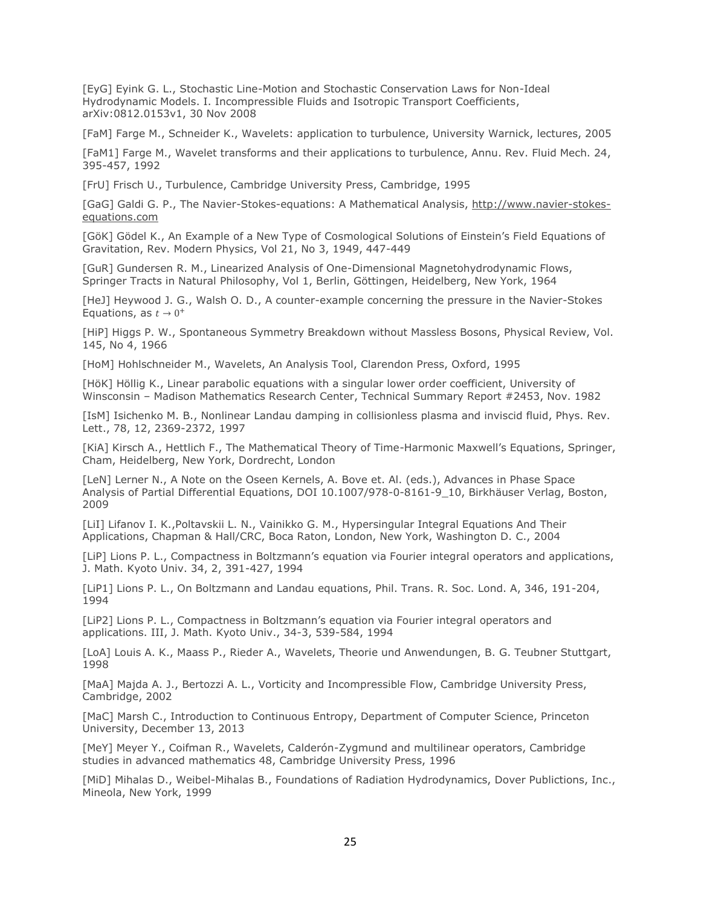[EyG] Eyink G. L., Stochastic Line-Motion and Stochastic Conservation Laws for Non-Ideal Hydrodynamic Models. I. Incompressible Fluids and Isotropic Transport Coefficients, arXiv:0812.0153v1, 30 Nov 2008

[FaM] Farge M., Schneider K., Wavelets: application to turbulence, University Warnick, lectures, 2005

[FaM1] Farge M., Wavelet transforms and their applications to turbulence, Annu. Rev. Fluid Mech. 24, 395-457, 1992

[FrU] Frisch U., Turbulence, Cambridge University Press, Cambridge, 1995

[GaG] Galdi G. P., The Navier-Stokes-equations: A Mathematical Analysis, [http://www.navier-stokes](http://www.navier-stokes-equations.com/)[equations.com](http://www.navier-stokes-equations.com/)

[GöK] Gödel K., An Example of a New Type of Cosmological Solutions of Einstein's Field Equations of Gravitation, Rev. Modern Physics, Vol 21, No 3, 1949, 447-449

[GuR] Gundersen R. M., Linearized Analysis of One-Dimensional Magnetohydrodynamic Flows, Springer Tracts in Natural Philosophy, Vol 1, Berlin, Göttingen, Heidelberg, New York, 1964

[HeJ] Heywood J. G., Walsh O. D., A counter-example concerning the pressure in the Navier-Stokes Equations, as  $t \to 0^+$ 

[HiP] Higgs P. W., Spontaneous Symmetry Breakdown without Massless Bosons, Physical Review, Vol. 145, No 4, 1966

[HoM] Hohlschneider M., Wavelets, An Analysis Tool, Clarendon Press, Oxford, 1995

[HöK] Höllig K., Linear parabolic equations with a singular lower order coefficient, University of Winsconsin – Madison Mathematics Research Center, Technical Summary Report #2453, Nov. 1982

[IsM] Isichenko M. B., Nonlinear Landau damping in collisionless plasma and inviscid fluid, Phys. Rev. Lett., 78, 12, 2369-2372, 1997

[KiA] Kirsch A., Hettlich F., The Mathematical Theory of Time-Harmonic Maxwell's Equations, Springer, Cham, Heidelberg, New York, Dordrecht, London

[LeN] Lerner N., A Note on the Oseen Kernels, A. Bove et. Al. (eds.), Advances in Phase Space Analysis of Partial Differential Equations, DOI 10.1007/978-0-8161-9 10, Birkhäuser Verlag, Boston, 2009

[LiI] Lifanov I. K.,Poltavskii L. N., Vainikko G. M., Hypersingular Integral Equations And Their Applications, Chapman & Hall/CRC, Boca Raton, London, New York, Washington D. C., 2004

[LiP] Lions P. L., Compactness in Boltzmann's equation via Fourier integral operators and applications, J. Math. Kyoto Univ. 34, 2, 391-427, 1994

[LiP1] Lions P. L., On Boltzmann and Landau equations, Phil. Trans. R. Soc. Lond. A, 346, 191-204, 1994

[LiP2] Lions P. L., Compactness in Boltzmann's equation via Fourier integral operators and applications. III, J. Math. Kyoto Univ., 34-3, 539-584, 1994

[LoA] Louis A. K., Maass P., Rieder A., Wavelets, Theorie und Anwendungen, B. G. Teubner Stuttgart, 1998

[MaA] Majda A. J., Bertozzi A. L., Vorticity and Incompressible Flow, Cambridge University Press, Cambridge, 2002

[MaC] Marsh C., Introduction to Continuous Entropy, Department of Computer Science, Princeton University, December 13, 2013

[MeY] Meyer Y., Coifman R., Wavelets, Calderón-Zygmund and multilinear operators, Cambridge studies in advanced mathematics 48, Cambridge University Press, 1996

[MiD] Mihalas D., Weibel-Mihalas B., Foundations of Radiation Hydrodynamics, Dover Publictions, Inc., Mineola, New York, 1999